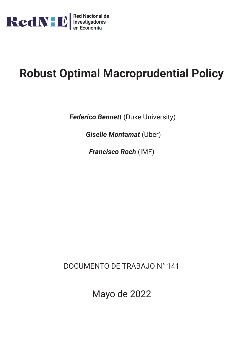

# **Robust Optimal Macroprudential Policy**

**Federico Bennett** (Duke University)

*Giselle Montamat* (Uber)

*Francisco Roch* (IMF)

DOCUMENTO DE TRABAJO N° 141

Mayo de 2022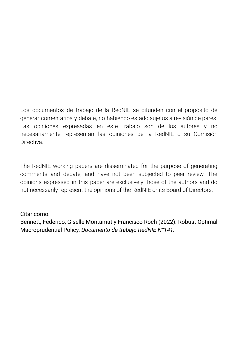Los documentos de trabajo de la RedNIE se difunden con el propósito de generar comentarios y debate, no habiendo estado sujetos a revisión de pares. Las opiniones expresadas en este trabajo son de los autores y no necesariamente representan las opiniones de la RedNIE o su Comisión **Directiva** 

The RedNIE working papers are disseminated for the purpose of generating comments and debate, and have not been subjected to peer review. The opinions expressed in this paper are exclusively those of the authors and do not necessarily represent the opinions of the RedNIE or its Board of Directors.

# Citar como:

Bennett, Federico, Giselle Montamat y Francisco Roch (2022). Robust Optimal Macroprudential Policy. *Documento de trabajo RedNIE N°141.*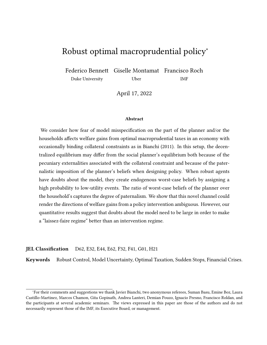# Robust optimal macroprudential policy<sup>∗</sup>

Federico Bennett Giselle Montamat Francisco Roch Duke University Uber IMF

April 17, 2022

#### **Abstract**

We consider how fear of model misspecification on the part of the planner and/or the households affects welfare gains from optimal macroprudential taxes in an economy with occasionally binding collateral constraints as in Bianchi (2011). In this setup, the decentralized equilibrium may differ from the social planner's equilibrium both because of the pecuniary externalities associated with the collateral constraint and because of the paternalistic imposition of the planner's beliefs when designing policy. When robust agents have doubts about the model, they create endogenous worst-case beliefs by assigning a high probability to low-utility events. The ratio of worst-case beliefs of the planner over the household's captures the degree of paternalism. We show that this novel channel could render the directions of welfare gains from a policy intervention ambiguous. However, our quantitative results suggest that doubts about the model need to be large in order to make a "laissez-faire regime" better than an intervention regime.

**JEL Classification** D62, E32, E44, E62, F32, F41, G01, H21

**Keywords** Robust Control, Model Uncertainty, Optimal Taxation, Sudden Stops, Financial Crises.

<sup>∗</sup>For their comments and suggestions we thank Javier Bianchi, two anonymous referees, Suman Basu, Emine Boz, Laura Castillo-Martinez, Marcos Chamon, Gita Gopinath, Andrea Lanteri, Demian Pouzo, Ignacio Presno, Francisco Roldan, and the participants at several academic seminars. The views expressed in this paper are those of the authors and do not necessarily represent those of the IMF, its Executive Board, or management.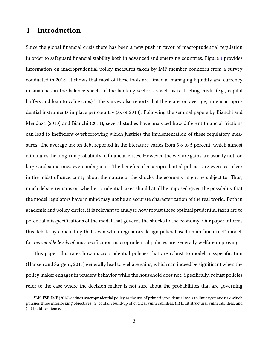# **1 Introduction**

Since the global financial crisis there has been a new push in favor of macroprudential regulation in order to safeguard financial stability both in advanced and emerging countries. Figure [1](#page-4-0) provides information on macroprudential policy measures taken by IMF member countries from a survey conducted in 2018. It shows that most of these tools are aimed at managing liquidity and currency mismatches in the balance sheets of the banking sector, as well as restricting credit (e.g., capital buffers and loan to value caps).<sup>[1](#page-3-0)</sup> The survey also reports that there are, on average, nine macroprudential instruments in place per country (as of 2018). Following the seminal papers by Bianchi and Mendoza (2010) and Bianchi (2011), several studies have analyzed how different financial frictions can lead to inefficient overborrowing which justifies the implementation of these regulatory measures. The average tax on debt reported in the literature varies from 3.6 to 5 percent, which almost eliminates the long-run probability of financial crises. However, the welfare gains are usually not too large and sometimes even ambiguous. The benefits of macroprudential policies are even less clear in the midst of uncertainty about the nature of the shocks the economy might be subject to. Thus, much debate remains on whether prudential taxes should at all be imposed given the possibility that the model regulators have in mind may not be an accurate characterization of the real world. Both in academic and policy circles, it is relevant to analyze how robust these optimal prudential taxes are to potential misspecifications of the model that governs the shocks to the economy. Our paper informs this debate by concluding that, even when regulators design policy based on an "incorrect" model, for *reasonable levels of* misspecification macroprudential policies are generally welfare improving.

This paper illustrates how macroprudential policies that are robust to model misspecification (Hansen and Sargent, 2011) generally lead to welfare gains, which can indeed be significant when the policy maker engages in prudent behavior while the household does not. Specifically, robust policies refer to the case where the decision maker is not sure about the probabilities that are governing

<span id="page-3-0"></span><sup>1</sup>BIS-FSB-IMF (2016) defines macroprudential policy as the use of primarily prudential tools to limit systemic risk which pursues three interlocking objectives: (i) contain build-up of cyclical vulnerabilities, (ii) limit structural vulnerabilities, and (iii) build resilience.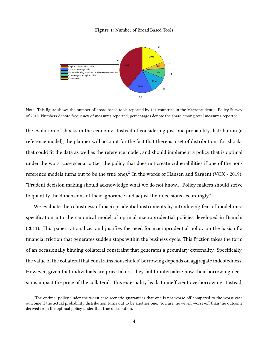#### **Figure 1:** Number of Broad Based Tools

<span id="page-4-0"></span>

Note: This figure shows the number of broad based tools reported by 141 countries in the Macroprudential Policy Survey of 2018. Numbers denote frequency of measures reported; percentages denote the share among total measures reported.

the evolution of shocks in the economy. Instead of considering just one probability distribution (a reference model), the planner will account for the fact that there is a set of distributions for shocks that could fit the data as well as the reference model, and should implement a policy that is optimal under the worst case scenario (i.e., the policy that does not create vulnerabilities if one of the nonreference models turns out to be the true one). $^2$  $^2$  In the words of Hansen and Sargent (VOX - 2019): "Prudent decision making should acknowledge what we do not know… Policy makers should strive to quantify the dimensions of their ignorance and adjust their decisions accordingly."

We evaluate the robustness of macroprudential instruments by introducing fear of model misspecification into the canonical model of optimal macroprudential policies developed in Bianchi (2011). This paper rationalizes and justifies the need for macroprudential policy on the basis of a financial friction that generates sudden stops within the business cycle. This friction takes the form of an occasionally binding collateral constraint that generates a pecuniary externality. Specifically, the value of the collateral that constrains households' borrowing depends on aggregate indebtedness. However, given that individuals are price takers, they fail to internalize how their borrowing decisions impact the price of the collateral. This externality leads to inefficient overborrowing. Instead,

<span id="page-4-1"></span><sup>&</sup>lt;sup>2</sup>The optimal policy under the worst-case scenario guarantees that one is not worse-off compared to the worst-case outcome if the actual probability distribution turns out to be another one. You are, however, worse-off than the outcome derived from the optimal policy under that true distribution.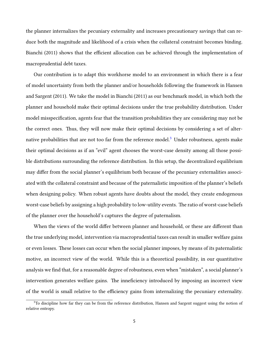the planner internalizes the pecuniary externality and increases precautionary savings that can reduce both the magnitude and likelihood of a crisis when the collateral constraint becomes binding. Bianchi (2011) shows that the efficient allocation can be achieved through the implementation of macroprudential debt taxes.

Our contribution is to adapt this workhorse model to an environment in which there is a fear of model uncertainty from both the planner and/or households following the framework in Hansen and Sargent (2011). We take the model in Bianchi (2011) as our benchmark model, in which both the planner and household make their optimal decisions under the true probability distribution. Under model misspecification, agents fear that the transition probabilities they are considering may not be the correct ones. Thus, they will now make their optimal decisions by considering a set of alter-native probabilities that are not too far from the reference model.<sup>[3](#page-5-0)</sup> Under robustness, agents make their optimal decisions as if an "evil" agent chooses the worst-case density among all those possible distributions surrounding the reference distribution. In this setup, the decentralized equilibrium may differ from the social planner's equilibrium both because of the pecuniary externalities associated with the collateral constraint and because of the paternalistic imposition of the planner's beliefs when designing policy. When robust agents have doubts about the model, they create endogenous worst-case beliefs by assigning a high probability to low-utility events. The ratio of worst-case beliefs of the planner over the household's captures the degree of paternalism.

When the views of the world differ between planner and household, or these are different than the true underlying model, intervention via macroprudential taxes can result in smaller welfare gains or even losses. These losses can occur when the social planner imposes, by means of its paternalistic motive, an incorrect view of the world. While this is a theoretical possibility, in our quantitative analysis we find that, for a reasonable degree of robustness, even when "mistaken", a social planner's intervention generates welfare gains. The inneficiency introduced by imposing an incorrect view of the world is small relative to the efficiency gains from internalizing the pecuniary externality.

<span id="page-5-0"></span><sup>&</sup>lt;sup>3</sup>To discipline how far they can be from the reference distribution, Hansen and Sargent suggest using the notion of relative entropy.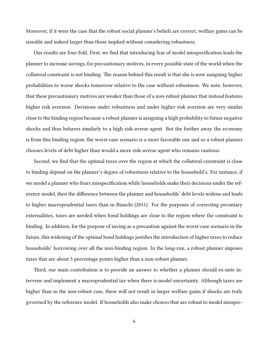Moreover, if it were the case that the robust social planner's beliefs are correct, welfare gains can be sizeable and indeed larger than those implied without considering robustness.

Our results are four-fold. First, we find that introducing fear of model misspecification leads the planner to increase savings, for precautionary motives, in every possible state of the world when the collateral constraint is not binding. The reason behind this result is that she is now assigning higher probabilities to worse shocks tomorrow relative to the case without robustness. We note, however, that these precautionary motives are weaker than those of a non-robust planner that instead features higher risk aversion. Decisions under robustness and under higher risk aversion are very similar close to the binding region because a robust planner is assigning a high probability to future negative shocks and thus behaves similarly to a high risk-averse agent. But the further away the economy is from this binding region, the worst-case scenario is a more favorable one and so a robust planner chooses levels of debt higher than would a more risk-averse agent who remains cautious.

Second, we find that the optimal taxes over the region at which the collateral constraint is close to binding depend on the planner's degree of robustness relative to the household's. For instance, if we model a planner who fears misspecification while households make their decisions under the reference model, then the difference between the planner and households' debt levels widens and leads to higher macroprudential taxes than in Bianchi (2011). For the purposes of correcting pecuniary externalities, taxes are needed when bond holdings are close to the region where the constraint is binding. In addition, for the purpose of saving as a precaution against the worst-case scenario in the future, this widening of the optimal bond holdings justifies the introduction of higher taxes to reduce households' borrowing over all the non-binding region. In the long-run, a robust planner imposes taxes that are about 5 percentage points higher than a non-robust planner.

Third, our main contribution is to provide an answer to whether a planner should ex-ante intervene and implement a macroprudential tax when there is model uncertainty. Although taxes are higher than in the non-robust case, these will not result in larger welfare gains if shocks are truly governed by the reference model. If households also make choices that are robust to model misspec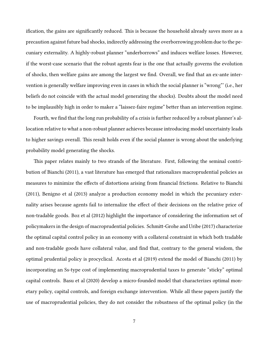ification, the gains are significantly reduced. This is because the household already saves more as a precaution against future bad shocks, indirectly addressing the overborrowing problem due to the pecuniary externality. A highly-robust planner "underborrows" and induces welfare losses. However, if the worst-case scenario that the robust agents fear is the one that actually governs the evolution of shocks, then welfare gains are among the largest we find. Overall, we find that an ex-ante intervention is generally welfare improving even in cases in which the social planner is "wrong"' (i.e., her beliefs do not coincide with the actual model generating the shocks). Doubts about the model need to be implausibly high in order to maker a "laissez-faire regime" better than an intervention regime.

Fourth, we find that the long run probability of a crisis is further reduced by a robust planner's allocation relative to what a non-robust planner achieves because introducing model uncertainty leads to higher savings overall. This result holds even if the social planner is wrong about the underlying probability model generating the shocks.

This paper relates mainly to two strands of the literature. First, following the seminal contribution of Bianchi (2011), a vast literature has emerged that rationalizes macroprudential policies as measures to minimize the effects of distortions arising from financial frictions. Relative to Bianchi (2011), Benigno et al (2013) analyze a production economy model in which the pecuniary externality arises because agents fail to internalize the effect of their decisions on the relative price of non-tradable goods. Boz et al (2012) highlight the importance of considering the information set of policymakers in the design of macroprudential policies. Schmitt-Grohe and Uribe (2017) characterize the optimal capital control policy in an economy with a collateral constraint in which both tradable and non-tradable goods have collateral value, and find that, contrary to the general wisdom, the optimal prudential policy is procyclical. Acosta et al (2019) extend the model of Bianchi (2011) by incorporating an Ss-type cost of implementing macroprudential taxes to generate "sticky" optimal capital controls. Basu et al (2020) develop a micro-founded model that characterizes optimal monetary policy, capital controls, and foreign exchange intervention. While all these papers justify the use of macroprudential policies, they do not consider the robustness of the optimal policy (in the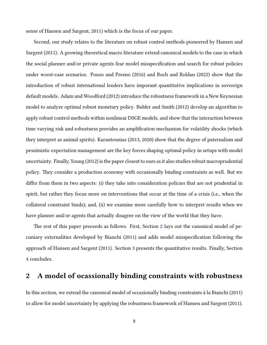sense of Hansen and Sargent, 2011) which is the focus of our paper.

Second, our study relates to the literature on robust control methods pioneered by Hansen and Sargent (2011). A growing theoretical macro literature extend canonical models to the case in which the social planner and/or private agents fear model misspecification and search for robust policies under worst-case scenarios. Pouzo and Presno (2016) and Roch and Roldan (2022) show that the introduction of robust international lenders have imporant quantitative implications in sovereign default models. Adam and Woodford (2012) introduce the robustness framework in a New Keynesian model to analyze optimal robust monetary policy. Bidder and Smith (2012) develop an algorithm to apply robust control methods within nonlinear DSGE models, and show that the interaction between time varying risk and robustness provides an amplification mechanism for volatility shocks (which they interpret as animal spirits). Karantounias (2013, 2020) show that the degree of paternalism and pessimistic expectation management are the key forces shaping optimal policy in setups with model uncertainty. Finally, Young (2012) is the paper closest to ours as it also studies robust macroprudential policy. They consider a production economy with occasionally binding constraints as well. But we differ from them in two aspects: (i) they take into consideration policies that are not prudential in spirit, but rather they focus more on interventions that occur at the time of a crisis (i.e., when the collateral constraint binds); and, (ii) we examine more carefully how to interpret results when we have planner and/or agents that actually disagree on the view of the world that they have.

The rest of this paper proceeds as follows. First, Section [2](#page-8-0) lays out the canonical model of pecuniary externalities developed by Bianchi (2011) and adds model misspecification following the approach of Hansen and Sargent (2011). Section [3](#page-18-0) presents the quantitative results. Finally, Section [4](#page-37-0) concludes.

# <span id="page-8-0"></span>**2 A model of ocassionally binding constraints with robustness**

In this section, we extend the canonical model of occasionally binding constraints à la Bianchi (2011) to allow for model uncertainty by applying the robustness framework of Hansen and Sargent (2011).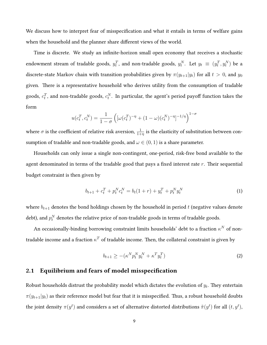We discuss how to interpret fear of misspecification and what it entails in terms of welfare gains when the household and the planner share different views of the world.

Time is discrete. We study an infinite-horizon small open economy that receives a stochastic endowment stream of tradable goods,  $y_t^T$ , and non-tradable goods,  $y_t^N$ . Let  $y_t \equiv (y_t^T, y_t^N)$  be a discrete-state Markov chain with transition probabilities given by  $\pi(y_{t+1}|y_t)$  for all  $t > 0$ , and  $y_0$ given. There is a representative household who derives utility from the consumption of tradable goods,  $c_t^T$ , and non-tradable goods,  $c_t^N$ . In particular, the agent's period payoff function takes the form

$$
u(c_t^T, c_t^N) = \frac{1}{1 - \sigma} \left( [\omega(c_t^T)^{-\eta} + (1 - \omega)(c_t^N)^{-\eta}]^{-1/\eta} \right)^{1 - \sigma}
$$

where  $\sigma$  is the coefficient of relative risk aversion,  $\frac{1}{1+\eta}$  is the elasticity of substitution between consumption of tradable and non-tradable goods, and  $\omega \in (0,1)$  is a share parameter.

Households can only issue a single non-contingent, one-period, risk-free bond available to the agent denominated in terms of the tradable good that pays a fixed interest rate *r*. Their sequential budget constraint is then given by

$$
b_{t+1} + c_t^T + p_t^N c_t^N = b_t (1+r) + y_t^T + p_t^N y_t^N
$$
\n(1)

where  $b_{t+1}$  denotes the bond holdings chosen by the household in period  $t$  (negative values denote debt), and  $p_t^N$  denotes the relative price of non-tradable goods in terms of tradable goods.

An occasionally-binding borrowing constraint limits households' debt to a fraction  $\kappa^N$  of nontradable income and a fraction *κ <sup>T</sup>* of tradable income. Then, the collateral constraint is given by

<span id="page-9-0"></span>
$$
b_{t+1} \ge -(\kappa^N p_t^N y_t^N + \kappa^T y_t^T) \tag{2}
$$

### **2.1 Equilibrium and fears of model misspecification**

Robust households distrust the probability model which dictates the evolution of *y<sup>t</sup>* . They entertain  $\pi(y_{t+1}|y_t)$  as their reference model but fear that it is misspecified. Thus, a robust household doubts the joint density  $\pi(y^t)$  and considers a set of alternative distorted distributions  $\tilde{\pi}(y^t)$  for all  $(t,y^t),$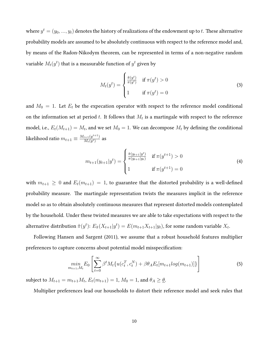where  $y^t = (y_0, ..., y_t)$  denotes the history of realizations of the endowment up to  $t.$  These alternative probability models are assumed to be absolutely continuous with respect to the reference model and, by means of the Radon-Nikodym theorem, can be represented in terms of a non-negative random variable  $M_t(y^t)$  that is a measurable function of  $y^t$  given by

$$
M_t(y^t) = \begin{cases} \frac{\tilde{\pi}(y^t)}{\pi(y^t)} & \text{if } \pi(y^t) > 0\\ 1 & \text{if } \pi(y^t) = 0 \end{cases}
$$
 (3)

and  $M_0 = 1$ . Let  $E_t$  be the expecation operator with respect to the reference model conditional on the information set at period  $t$ . It follows that  $M_t$  is a martingale with respect to the reference model, i.e.,  $E_t(M_{t+1}) = M_t$ , and we set  $M_0 = 1$ . We can decompose  $M_t$  by defining the conditional likelihood ratio  $m_{t+1} \equiv \frac{M_{t+1}(y^{t+1})}{M_{t}(y^{t})}$  $\frac{t+1(y^{e+1})}{M_t(y^t)}$  as

$$
m_{t+1}(y_{t+1}|y^t) = \begin{cases} \frac{\tilde{\pi}(y_{t+1}|y^t)}{\pi(y_{t+1}|y_t)} & \text{if } \pi(y^{t+1}) > 0\\ 1 & \text{if } \pi(y^{t+1}) = 0 \end{cases}
$$
 (4)

with  $m_{t+1} \geq 0$  and  $E_t(m_{t+1}) = 1$ , to guarantee that the distorted probability is a well-defined probability measure. The martingale representation twists the measures implicit in the reference model so as to obtain absolutely continuous measures that represent distorted models contemplated by the household. Under these twisted measures we are able to take expectations with respect to the alternative distribution  $\tilde{\pi}(y^t)$ :  $E_{\tilde{\pi}}(X_{t+1}|y^t) = E(m_{t+1}X_{t+1}|y_t)$ , for some random variable  $X_t$ .

Following Hansen and Sargent (2011), we assume that a robust household features multiplier preferences to capture concerns about potential model misspecification:

<span id="page-10-0"></span>
$$
\min_{m_{t+1}, M_t} E_0 \left[ \sum_{t=0}^{\infty} \beta^t M_t \{ u(c_t^T, c_t^N) + \beta \theta_A E_t[m_{t+1} log(m_{t+1})] \} \right]
$$
(5)

subject to  $M_{t+1} = m_{t+1}M_t$ ,  $E_t(m_{t+1}) = 1$ ,  $M_0 = 1$ , and  $\theta_A \geq \theta$ .

Multiplier preferences lead our households to distort their reference model and seek rules that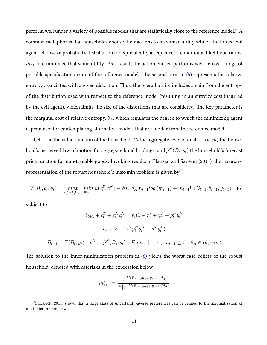perform well under a variety of possible models that are statistically close to the reference model.<sup>[4](#page-11-0)</sup> A common metaphor is that households choose their actions to maximize utility while a fictitious 'evil agent' chooses a probability distribution (or equivalently a sequence of conditional likelihood ratios,  $m_{t+1}$ ) to minimize that same utility. As a result, the action chosen performs well across a range of possible specification errors of the reference model. The second term in([5\)](#page-10-0) represents the relative entropy associated with a given distortion. Thus, the overall utility includes a gain from the entropy of the distribution used with respect to the reference model (resulting in an entropy cost incurred by the evil agent), which limits the size of the distortions that are considered. The key parameter is the marginal cost of relative entropy, *θA*, which regulates the degree to which the minimizing agent is penalized for contemplating alternative models that are too far from the reference model.

Let  $V$  be the value function of the household,  $B_t$  the aggregate level of debt,  $\Gamma(B_t,y_t)$  the household's perceived law of motion for aggregate bond holdings, and  $\tilde{p}^N(B_t,y_t)$  the household's forecast price function for non-tradable goods. Invoking results in Hansen and Sargent (2011), the recursive representation of the robust household's max-min problem is given by

<span id="page-11-1"></span>
$$
V(B_t, b_t, y_t) = \max_{c_t^N, c_t^T, b_{t+1}} \min_{m_{t+1}} u(c_t^T, c_t^N) + \beta E \left[ \theta_A m_{t+1} \log (m_{t+1}) + m_{t+1} V(B_{t+1}, b_{t+1}, y_{t+1}) \right] \tag{6}
$$

subject to

$$
b_{t+1} + c_t^T + p_t^N c_t^N = b_t (1+r) + y_t^T + p_t^N y_t^N
$$

$$
b_{t+1} \ge -(\kappa^N p_t^N y_t^N + \kappa^T y_t^T)
$$

$$
B_{t+1} = \Gamma(B_t, y_t) , p_t^N = \tilde{p}^N(B_t, y_t) , E[m_{t+1}] = 1 , m_{t+1} \ge 0 , \theta_A \in (\underline{\theta}, +\infty)
$$

The solution to the inner minimization problem in([6](#page-11-1)) yields the worst-case beliefs of the robust household, denoted with asterisks in the expression below

$$
m_{t+1}^* = \frac{e^{-V(B_{t+1},b_{t+1},y_{t+1})/\theta_A}}{E[e^{-V(B_{t+1},b_{t+1},y_{t+1})/\theta_A}]}
$$

<span id="page-11-0"></span><sup>4</sup>Stzralecki(2011) shows that a large class of uncertainty-averse preferences can be related to the axiomatization of multiplier preferences.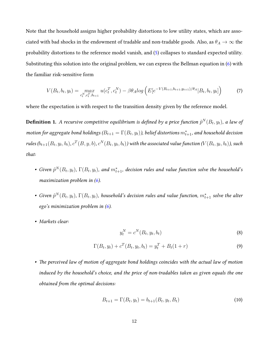Note that the household assigns higher probability distortions to low utility states, which are associated with bad shocks in the endowment of tradable and non-tradable goods. Also, as  $\theta_A \to \infty$  the probability distortions to the reference model vanish, and([5](#page-10-0)) collapses to standard expected utility. Substituting this solution into the original problem, we can express the Bellman equation in [\(6\)](#page-11-1) with the familiar risk-sensitive form

<span id="page-12-2"></span>
$$
V(B_t, b_t, y_t) = \max_{c_t^N, c_t^T, b_{t+1}} u(c_t^T, c_t^N) - \beta \theta_A \log \left( E[e^{-V(B_{t+1}, b_{t+1}, y_{t+1})/\theta_A} | B_t, b_t, y_t] \right)
$$
(7)

where the expectation is with respect to the transition density given by the reference model.

**Definition 1.** A recursive competitive equilibrium is defined by a price function  $\tilde{p}^N(B_t, y_t)$ , a law of *motion for aggregate bond holdings (* $B_{t+1} = \Gamma(B_t, y_t)$ *), belief distortions*  $m^*_{t+1}$ *, and household decision* rules  $(b_{t+1}(B_t,y_t,b_t),c^T(B,y,b),c^N(B_t,y_t,b_t))$  with the associated value function ( $V(B_t,y_t,b_t)$ ), such *that:*

- Given  $\tilde{p}^N(B_t, y_t)$ ,  $\Gamma(B_t, y_t)$ , and  $m_{t+1}^*$ , decision rules and value function solve the household's *maximization problem in [\(6\)](#page-11-1).*
- Given  $\tilde{p}^N(B_t, y_t)$ ,  $\Gamma(B_t, y_t)$ , household's decision rules and value function,  $m_{t+1}^*$  solve the alter *ego's minimization problem in [\(6](#page-11-1)).*
- *• Markets clear:*

<span id="page-12-0"></span>
$$
y_t^N = c^N(B_t, y_t, b_t)
$$
\n
$$
(8)
$$

<span id="page-12-1"></span>
$$
\Gamma(B_t, y_t) + c^T(B_t, y_t, b_t) = y_t^T + B_t(1+r)
$$
\n(9)

*• The perceived law of motion of aggregate bond holdings coincides with the actual law of motion induced by the household's choice, and the price of non-tradables taken as given equals the one obtained from the optimal decisions:*

$$
B_{t+1} = \Gamma(B_t, y_t) = b_{t+1}(B_t, y_t, B_t)
$$
\n(10)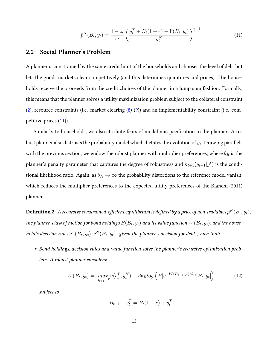<span id="page-13-0"></span>
$$
\tilde{p}^{N}(B_{t}, y_{t}) = \frac{1 - \omega}{\omega} \left( \frac{y_{t}^{T} + B_{t}(1+r) - \Gamma(B_{t}, y_{t})}{y_{t}^{N}} \right)^{\eta + 1}
$$
\n(11)

#### **2.2 Social Planner's Problem**

A planner is constrained by the same credit limit of the households and chooses the level of debt but lets the goods markets clear competitively (and this determines quantities and prices). The households receive the proceeds from the credit choices of the planner in a lump sum fashion. Formally, this means that the planner solves a utility maximization problem subject to the collateral constraint [\(2\)](#page-9-0), resource constraints (i.e. market clearing  $(8)-(9)$  $(8)-(9)$  $(8)-(9)$ ) and an implementability constraint (i.e. competitive prices([11](#page-13-0))).

Similarly to households, we also attribute fears of model misspecification to the planner. A robust planner also distrusts the probability model which dictates the evolution of *y<sup>t</sup>* . Drawing parallels with the previous section, we endow the robust planner with multiplier preferences, where  $\theta_R$  is the planner's penalty parameter that captures the degree of robustness and  $n_{t+1}(y_{t+1}|y^t)$  is the conditional likelihood ratio. Again, as  $\theta_R \to \infty$  the probability distortions to the reference model vanish, which reduces the multiplier preferences to the expected utility preferences of the Bianchi (2011) planner.

 ${\bf Definition~2.~}$   $A$  recursive constrained-efficient equilibrium is defined by a price of non-tradables  $p^N(B_t,y_t),$  $t$ he planner's law of motion for bond holdings  $B(B_t,y_t)$  and its value function  $W(B_t,y_t),$  and the house*hold's decision rules*  $c^T(B_t, y_t)$ ,  $c^N(B_t, y_t)$  -given the planner's decision for debt-, such that:

*• Bond holdings, decision rules and value function solve the planner's recursive optimization problem. A robust planner considers:*

<span id="page-13-1"></span>
$$
W(B_t, y_t) = \max_{B_{t+1}, c_t^T} u(c_t^T, y_t^N) - \beta \theta_R \log \left( E[e^{-W(B_{t+1}, y_t)/\theta_R} | B_t, y_t] \right)
$$
(12)

*subject to*

$$
B_{t+1} + c_t^T = B_t(1+r) + y_t^T
$$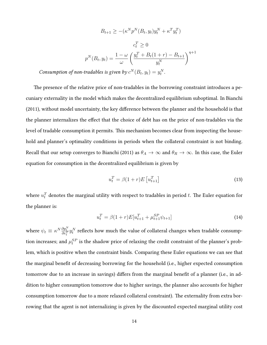$$
B_{t+1} \ge -(\kappa^N p^N (B_t, y_t) y_t^N + \kappa^T y_t^T)
$$

$$
c_t^T \ge 0
$$

$$
p^N (B_t, y_t) = \frac{1 - \omega}{\omega} \left( \frac{y_t^T + B_t (1+r) - B_{t+1}}{y_t^N} \right)^{\eta + 1}
$$

*Consumption of non-tradables is given by*  $c^N(B_t, y_t) = y_t^N$ .

The presence of the relative price of non-tradables in the borrowing constraint introduces a pecuniary externality in the model which makes the decentralized equilibrium suboptimal. In Bianchi (2011), without model uncertainty, the key difference between the planner and the household is that the planner internalizes the effect that the choice of debt has on the price of non-tradables via the level of tradable consumption it permits. This mechanism becomes clear from inspecting the household and planner's optimality conditions in periods when the collateral constraint is not binding. Recall that our setup converges to Bianchi (2011) as  $\theta_A \to \infty$  and  $\theta_R \to \infty$ . In this case, the Euler equation for consumption in the decentralized equilibrium is given by

$$
u_t^T = \beta(1+r)E\left[u_{t+1}^T\right]
$$
\n<sup>(13)</sup>

where  $u_t^T$  denotes the marginal utility with respect to tradables in period  $t.$  The Euler equation for the planner is:

$$
u_t^T = \beta (1+r) E[u_{t+1}^T + \mu_{t+1}^{SP} \psi_{t+1}]
$$
\n(14)

where  $\psi_t \equiv \kappa^N \frac{\partial p_t^N}{\partial c_t^T} y_t^N$  reflects how much the value of collateral changes when tradable consumption increases; and  $\mu_t^{SP}$  is the shadow price of relaxing the credit constraint of the planner's problem, which is positive when the constraint binds. Comparing these Euler equations we can see that the marginal benefit of decreasing borrowing for the household (i.e., higher expected consumption tomorrow due to an increase in savings) differs from the marginal benefit of a planner (i.e., in addition to higher consumption tomorrow due to higher savings, the planner also accounts for higher consumption tomorrow due to a more relaxed collateral constraint). The externality from extra borrowing that the agent is not internalizing is given by the discounted expected marginal utility cost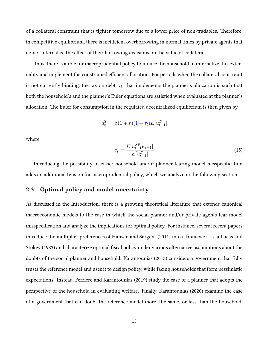of a collateral constraint that is tighter tomorrow due to a lower price of non-tradables. Therefore, in competitive equilibrium, there is inefficient overborrowing in normal times by private agents that do not internalize the effect of their borrowing decisions on the value of collateral.

Thus, there is a role for macroprudential policy to induce the household to internalize this externality and implement the constrained efficient allocation. For periods when the collateral constraint is not currently binding, the tax on debt,  $\tau_t$ , that implements the planner's allocation is such that both the household's and the planner's Euler equations are satisfied when evaluated at the planner's allocation. The Euler for consumption in the regulated decentralized equilibrium is then given by

$$
u_t^T = \beta(1+r)(1+\tau_t)E[u_{t+1}^T]
$$

where

$$
\tau_t = \frac{E[\mu_{t+1}^{SP} \psi_{t+1}]}{E[u_{t+1}^T]}
$$
\n(15)

Introducing the possibility of either household and/or planner fearing model misspecification adds an additional tension for macroprudential policy, which we analyze in the following section.

# <span id="page-15-0"></span>**2.3 Optimal policy and model uncertainty**

As discussed in the Introduction, there is a growing theoretical literature that extends canonical macroeconomic models to the case in which the social planner and/or private agents fear model misspecification and analyze the implications for optimal policy. For instance, several recent papers introduce the multiplier preferences of Hansen and Sargent (2011) into a framework à la Lucas and Stokey (1983) and characterize optimal fiscal policy under various alternative assumptions about the doubts of the social planner and household. Karantounias (2013) considers a government that fully trusts the reference model and uses it to design policy, while facing households that form pessimistic expectations. Instead, Ferriere and Karantounias (2019) study the case of a planner that adopts the perspective of the household in evaluating welfare. Finally, Karantounias (2020) examine the case of a government that can doubt the reference model more, the same, or less than the household.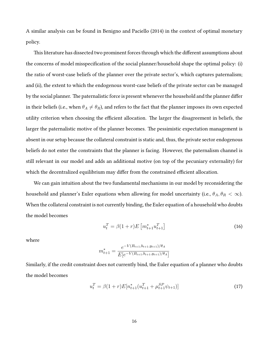A similar analysis can be found in Benigno and Paciello (2014) in the context of optimal monetary policy.

This literature has dissected two prominent forces through which the different assumptions about the concerns of model misspecification of the social planner/household shape the optimal policy: (i) the ratio of worst-case beliefs of the planner over the private sector's, which captures paternalism; and (ii), the extent to which the endogenous worst-case beliefs of the private sector can be managed by the social planner. The paternalistic force is present whenever the household and the planner differ in their beliefs (i.e., when  $\theta_A \neq \theta_R$ ), and refers to the fact that the planner imposes its own expected utility criterion when choosing the efficient allocation. The larger the disagreement in beliefs, the larger the paternalistic motive of the planner becomes. The pessimistic expectation management is absent in our setup because the collateral constraint is static and, thus, the private sector endogenous beliefs do not enter the constraints that the planner is facing. However, the paternalism channel is still relevant in our model and adds an additional motive (on top of the pecuniary externality) for which the decentralized equilibrium may differ from the constrained efficient allocation.

We can gain intuition about the two fundamental mechanisms in our model by reconsidering the household and planner's Euler equations when allowing for model uncertainty (i.e.,  $\theta_A$ ,  $\theta_R < \infty$ ). When the collateral constraint is not currently binding, the Euler equation of a household who doubts the model becomes

<span id="page-16-0"></span>
$$
u_t^T = \beta (1+r) E\left[m_{t+1}^* u_{t+1}^T\right]
$$
\n(16)

where

$$
m_{t+1}^{*} = \frac{e^{-V(B_{t+1},b_{t+1},y_{t+1})/\theta_A}}{E[e^{-V(B_{t+1},b_{t+1},y_{t+1})/\theta_A}]}
$$

Similarly, if the credit constraint does not currently bind, the Euler equation of a planner who doubts the model becomes

<span id="page-16-1"></span>
$$
u_t^T = \beta (1+r) E[n_{t+1}^*(u_{t+1}^T + \mu_{t+1}^{SP} \psi_{t+1})]
$$
\n(17)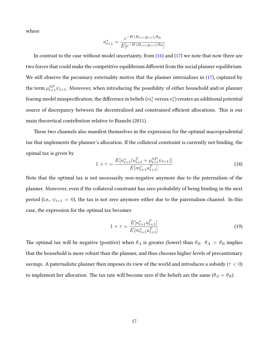where

$$
n_{t+1}^{*} = \frac{e^{-W(B_{t+1}, y_{t+1})/\theta_R}}{E[e^{-W(B_{t+1}, y_{t+1})/\theta_R}]}
$$

In contrast to the case without model uncertainty, from [\(16\)](#page-16-0) and([17\)](#page-16-1) we note that now there are two forces that could make the competitive equilibrium different from the social planner equilibrium. We still observe the pecuniary externality motive that the planner internalizes in [\(17\)](#page-16-1), captured by the term  $\mu_{t+1}^{SP} \psi_{t+1}$ . Moreover, when introducing the possibility of either household and/or planner fearing model misspecification, the difference in beliefs ( $m_t^*$  versus  $n_t^*$ ) creates an additional potential source of discrepancy between the decentralized and constrained efficient allocations. This is our main theoretical contribution relative to Bianchi (2011).

These two channels also manifest themselves in the expression for the optimal macroprudential tax that implements the planner's allocation. If the collateral constraint is currently not binding, the opimal tax is given by

$$
1 + \tau = \frac{E[n_{t+1}^*(u_{t+1}^T + \mu_{t+1}^{SP}\psi_{t+1})]}{E[m_{t+1}^*u_{t+1}^T]}
$$
\n(18)

Note that the optimal tax is not necessarily non-negative anymore due to the paternalism of the planner. Moreover, even if the collateral constraint has zero probability of being binding in the next period (i.e.,  $\psi_{t+1} = 0$ ), the tax is not zero anymore either due to the paternalism channel. In this case, the expression for the optimal tax becomes

$$
1 + \tau = \frac{E[n_{t+1}^* u_{t+1}^T]}{E[m_{t+1}^* u_{t+1}^T]}
$$
\n(19)

The optimal tax will be negative (positive) when  $\theta_A$  is greater (lower) than  $\theta_R$ .  $\theta_A > \theta_R$  implies that the household is more robust than the planner, and thus chooses higher levels of precautionary savings. A paternalistic planner then imposes its view of the world and introduces a subsidy (*τ <* 0) to implement her allocation. The tax rate will become zero if the beliefs are the same ( $\theta_A = \theta_R$ ).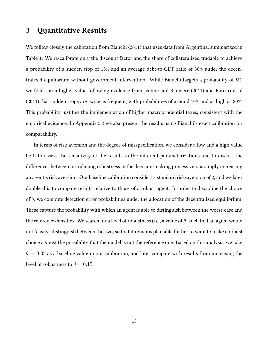# <span id="page-18-0"></span>**3 Quantitative Results**

We follow closely the calibration from Bianchi (2011) that uses data from Argentina, summarized in Table [1.](#page-19-0) We re-calibrate only the discount factor and the share of collateralized tradable to achieve a probability of a sudden stop of 13% and an average debt-to-GDP ratio of 30% under the decentralized equilibrium without government intervention. While Bianchi targets a probability of 5%, we focus on a higher value following evidence from Jeanne and Ranciere (2011) and Furceri et al (2011) that sudden stops are twice as frequent, with probabilities of around 10% and as high as 20%. This probability justifies the implementation of higher macroprudential taxes, consistent with the empirical evidence. In Appendix [5.2](#page-43-0) we also present the results using Bianchi's exact calibration for comparability.

In terms of risk aversion and the degree of misspecification, we consider a low and a high value both to assess the sensitivity of the results to the different parameterizations and to discuss the differences between introducing robustness in the decision-making process versus simply increasing an agent's risk aversion. Our baseline calibration considers a standard risk-aversion of 2, and we later double this to compare results relative to those of a robust agent. In order to discipline the choice of *θ*, we compute detection error probabilities under the allocation of the decentralized equilibrium. These capture the probability with which an agent is able to distinguish between the worst-case and the reference densities. We search for a level of robustness (i.e., a value of *θ*) such that an agent would not "easily" distinguish between the two, so that it remains plausible for her to want to make a robust choice against the possibility that the model is not the reference one. Based on this analysis, we take  $\theta = 0.35$  as a baseline value in our calibration, and later compare with results from increasing the level of robustness to  $\theta = 0.15$ .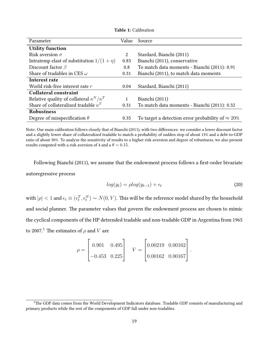<span id="page-19-0"></span>

| Parameter                                          | Value        | Source                                                    |
|----------------------------------------------------|--------------|-----------------------------------------------------------|
| <b>Utility function</b>                            |              |                                                           |
| Risk aversion $\sigma$                             | 2            | Stardard, Bianchi (2011)                                  |
| Intratemp elast of substitution $1/(1 + \eta)$     | 0.83         | Bianchi (2011), conservative                              |
| Discount factor $\beta$                            | 0.8          | To match data moments - Bianchi (2011): 0.91              |
| Share of tradables in CES $\omega$                 | 0.31         | Bianchi (2011), to match data moments                     |
| Interest rate                                      |              |                                                           |
| World risk-free interest rate $r$                  | 0.04         | Stardard, Bianchi (2011)                                  |
| <b>Collateral constraint</b>                       |              |                                                           |
| Relative quality of collateral $\kappa^N/\kappa^T$ | $\mathbf{1}$ | Bianchi (2011)                                            |
| Share of collateralized tradable $\kappa^T$        | 0.31         | To match data moments - Bianchi (2011): 0.32              |
| <b>Robustness</b>                                  |              |                                                           |
| Degree of misspecification $\theta$                | 0.35         | To target a detection error probability of $\approx 20\%$ |

**Table 1:** Calibration

Note: Our main calibration follows closely that of Bianchi (2011), with two differences: we consider a lower discount factor and a slightly lower share of collateralized tradable to match a probability of sudden stop of about 13% and a debt-to-GDP ratio of about 30%. To analyze the sensitivity of results to a higher risk aversion and degree of robustness, we also present results computed with a risk aversion of 4 and a  $\theta = 0.15$ .

Following Bianchi (2011), we assume that the endowment process follows a first-order bivariate autoregressive process

$$
log(y_t) = \rho log(y_{t-1}) + \epsilon_t
$$
\n(20)

with  $|\rho| < 1$  and  $\epsilon_t \equiv (\epsilon_t^T, \epsilon_t^N) \sim N(0, V)$ . This will be the reference model shared by the household and social planner. The parameter values that govern the endowment process are chosen to mimic the cyclical components of the HP detrended tradable and non-tradable GDP in Argentina from 1965 to 2007.<sup>[5](#page-19-1)</sup> The estimates of  $\rho$  and *V* are

$$
\rho = \begin{bmatrix} 0.901 & 0.495 \\ -0.453 & 0.225 \end{bmatrix} \quad V = \begin{bmatrix} 0.00219 & 0.00162 \\ 0.00162 & 0.00167 \end{bmatrix}.
$$

<span id="page-19-1"></span><sup>&</sup>lt;sup>5</sup>The GDP data comes from the World Development Indicators database. Tradable GDP consists of manufacturing and primary products while the rest of the components of GDP fall under non-tradables.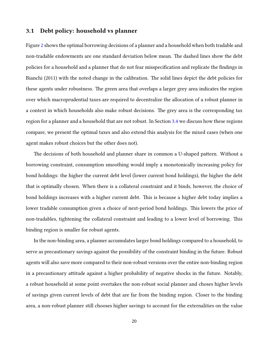### **3.1 Debt policy: household vs planner**

Figure [2](#page-21-0) shows the optimal borrowing decisions of a planner and a household when both tradable and non-tradable endowments are one standard deviation below mean. The dashed lines show the debt policies for a household and a planner that do not fear misspecification and replicate the findings in Bianchi (2011) with the noted change in the calibration. The solid lines depict the debt policies for these agents under robustness. The green area that overlaps a larger grey area indicates the region over which macroprudential taxes are required to decentralize the allocation of a robust planner in a context in which households also make robust decisions. The grey area is the corresponding tax region for a planner and a household that are not robust. In Section [3.4](#page-26-0) we discuss how these regions compare, we present the optimal taxes and also extend this analysis for the mixed cases (when one agent makes robust choices but the other does not).

The decisions of both household and planner share in common a U-shaped pattern. Without a borrowing constraint, consumption smoothing would imply a monotonically increasing policy for bond holdings: the higher the current debt level (lower current bond holdings), the higher the debt that is optimally chosen. When there is a collateral constraint and it binds, however, the choice of bond holdings increases with a higher current debt. This is because a higher debt today implies a lower tradable consumption given a choice of next-period bond holdings. This lowers the price of non-tradables, tightening the collateral constraint and leading to a lower level of borrowing. This binding region is smaller for robust agents.

In the non-binding area, a planner accumulates larger bond holdings compared to a household, to serve as precautionary savings against the possibility of the constraint binding in the future. Robust agents will also save more compared to their non-robust versions over the entire non-binding region in a precautionary attitude against a higher probability of negative shocks in the future. Notably, a robust household at some point overtakes the non-robust social planner and choses higher levels of savings given current levels of debt that are far from the binding region. Closer to the binding area, a non-robust planner still chooses higher savings to account for the externalities on the value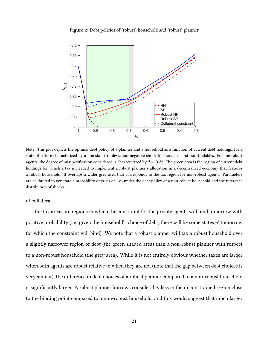

<span id="page-21-0"></span>

Note: This plot depicts the optimal debt policy of a planner and a household as a function of current debt holdings, for a state of nature characterized by a one standard deviation negative shock for tradables and non-tradables. For the robust agents, the degree of misspecification considered is characterized by  $\theta = 0.35$ . The green area is the region of current debt holdings for which a tax is needed to implement a robust planner's allocation in a decentralized economy that features a robust household. It overlaps a wider grey area that corresponds to the tax region for non-robust agents. Parameters are calibrated to generate a probability of crisis of 13% under the debt policy of a non-robust household and the reference distribution of shocks.

of collateral.

The tax areas are regions in which the constraint for the private agents will bind tomorrow with positive probability (i.e. given the household's choice of debt, there will be some states *y ′* tomorrow for which the constraint will bind). We note that a robust planner will tax a robust household over a slightly narrower region of debt (the green shaded area) than a non-robust planner with respect to a non-robust household (the grey area). While it is not entirely obvious whether taxes are larger when both agents are robust relative to when they are not (note that the gap between debt choices is very similar), the difference in debt choices of a robust planner compared to a non-robust household is significantly larger. A robust planner borrows considerably less in the unconstrained region close to the binding point compared to a non-robust household, and this would suggest that much larger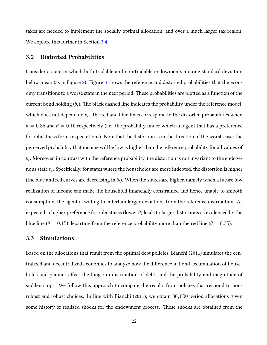taxes are needed to implement the socially optimal allocation, and over a much larger tax region. We explore this further in Section [3.4.](#page-26-0)

### **3.2 Distorted Probabilities**

Consider a state in which both tradable and non-tradable endowments are one standard deviation below mean (as in Figure [2](#page-21-0)). Figure [3](#page-23-0) shows the reference and distorted probabilities that the economy transitions to a worse state in the next period. These probabilities are plotted as a function of the current bond holding  $(b_t)$ . The black dashed line indicates the probability under the reference model, which does not depend on  $b_t$ . The red and blue lines correspond to the distorted probabilities when  $\theta = 0.35$  and  $\theta = 0.15$  respectively (i.e., the probabilty under which an agent that has a preference for robustness forms expectations). Note that the distortion is in the direction of the worst-case: the perceived probability that income will be low is higher than the reference probability for all values of  $\mathit{b}_{t}.$  Moreover, in contrast with the reference probability, the distortion is not invariant to the endogenous state *b<sup>t</sup>* . Specifically, for states where the households are more indebted, the distortion is higher (the blue and red curves are decreasing in  $b_t$ ). When the stakes are higher, namely when a future low realization of income can make the household financially constrained and hence unable to smooth consumption, the agent is willing to entertain larger deviations from the reference distribution. As expected, a higher preference for robustness (lower *θ*) leads to larger distortions as evidenced by the blue line ( $\theta = 0.15$ ) departing from the reference probability more than the red line ( $\theta = 0.35$ ).

### **3.3 Simulations**

Based on the allocations that result from the optimal debt policies, Bianchi (2011) simulates the centralized and decentralized economies to analyze how the difference in bond accumulation of households and planner affect the long-run distribution of debt, and the probability and magnitude of sudden stops. We follow this approach to compare the results from policies that respond to nonrobust and robust choices. In line with Bianchi (2011), we obtain 80*,* 000 period allocations given some history of realized shocks for the endowment process. These shocks are obtained from the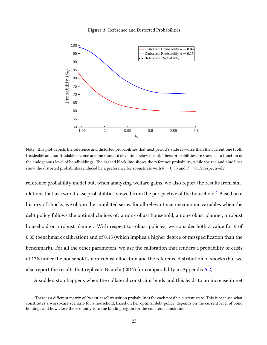

<span id="page-23-0"></span>

Note: This plot depicts the reference and distorted probabilities that next period's state is worse than the current one (both treadeable and non-tradable income are one standard deviation below mean). These probabilities are shown as a function of the endogenous level of bondholdings. The dashed black line shows the reference probability, while the red and blue lines show the distorted probabilities induced by a preference for robustness with  $\theta = 0.35$  and  $\theta = 0.15$  respectively.

reference probability model but, when analyzing welfare gains, we also report the results from sim-ulations that use worst-case probabilities viewed from the perspective of the household.<sup>[6](#page-23-1)</sup> Based on a history of shocks, we obtain the simulated series for all relevant macroeconomic variables when the debt policy follows the optimal choices of: a non-robust household, a non-robust planner, a robust household or a robust planner. With respect to robust policies, we consider both a value for *θ* of 0.35 (benchmark calibration) and of 0.15 (which implies a higher degree of misspecification than the benchmark). For all the other parameters, we use the calibration that renders a probability of crisis of 13% under the household's non-robust allocation and the reference distribution of shocks (but we also report the results that replicate Bianchi (2011) for comparability in Appendix [5.2](#page-43-0)).

A sudden stop happens when the collateral constraint binds and this leads to an increase in net

<span id="page-23-1"></span><sup>6</sup>There is a different matrix of "worst-case" transition probabilities for each possible current state. This is because what constitutes a worst-case scenario for a household, based on her optimal debt policy, depends on the current level of bond holdings and how close the economy is to the binding region for the collateral constraint.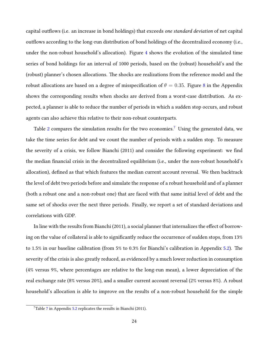capital outflows (i.e. an increase in bond holdings) that exceeds *one standard deviation* of net capital outflows according to the long-run distribution of bond holdings of the decentralized economy (i.e., under the non-robust household's allocation). Figure [4](#page-25-0) shows the evolution of the simulated time series of bond holdings for an interval of 1000 periods, based on the (robust) household's and the (robust) planner's chosen allocations. The shocks are realizations from the reference model and the robust allocations are based on a degree of misspecification of  $\theta = 0.35$ . Figure [8](#page-42-0) in the Appendix shows the corresponding results when shocks are derived from a worst-case distribution. As expected, a planner is able to reduce the number of periods in which a sudden stop occurs, and robust agents can also achieve this relative to their non-robust counterparts.

Table [2](#page-26-1) compares the simulation results for the two economies.<sup>[7](#page-24-0)</sup> Using the generated data, we take the time series for debt and we count the number of periods with a sudden stop. To measure the severity of a crisis, we follow Bianchi (2011) and consider the following experiment: we find the median financial crisis in the decentralized equilibrium (i.e., under the non-robust household's allocation), defined as that which features the median current account reversal. We then backtrack the level of debt two periods before and simulate the response of a robust household and of a planner (both a robust one and a non-robust one) that are faced with that same initial level of debt and the same set of shocks over the next three periods. Finally, we report a set of standard deviations and correlations with GDP.

In line with the results from Bianchi (2011), a social planner that internalizes the effect of borrowing on the value of collateral is able to significantly reduce the occurrence of sudden stops, from 13% to 1.5% in our baseline calibration (from 5% to 0.3% for Bianchi's calibration in Appendix [5.2](#page-43-0)). The severity of the crisis is also greatly reduced, as evidenced by a much lower reduction in consumption (4% versus 9%, where percentages are relative to the long-run mean), a lower depreciation of the real exchange rate (8% versus 20%), and a smaller current account reversal (2% versus 8%). A robust household's allocation is able to improve on the results of a non-robust household for the simple

<span id="page-24-0"></span> $7$ Table 7 in Appendix [5.2](#page-43-0) replicates the results in Bianchi (2011).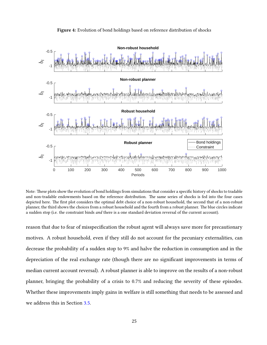<span id="page-25-0"></span>

**Figure 4:** Evolution of bond holdings based on reference distribution of shocks

Note: These plots show the evolution of bond holdings from simulations that consider a specific history of shocks to tradable and non-tradable endowments based on the reference distribution. The same series of shocks is fed into the four cases depicted here. The first plot considers the optimal debt choice of a non-robust household, the second that of a non-robust planner, the third shows the choices from a robust household and the fourth from a robust planner. The blue circles indicate a sudden stop (i.e. the constraint binds *and* there is a one standard deviation reversal of the current account).

reason that due to fear of misspecification the robust agent will always save more for precautionary motives. A robust household, even if they still do not account for the pecuniary externalities, can decrease the probability of a sudden stop to 9% and halve the reduction in consumption and in the depreciation of the real exchange rate (though there are no significant improvements in terms of median current account reversal). A robust planner is able to improve on the results of a non-robust planner, bringing the probability of a crisis to 0.7% and reducing the severity of these episodes. Whether these improvements imply gains in welfare is still something that needs to be assessed and we address this in Section [3.5](#page-29-0).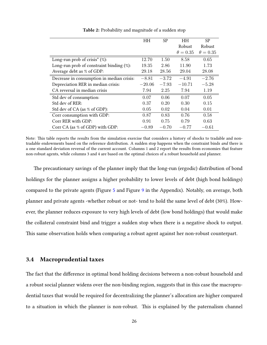<span id="page-26-1"></span>

|                                              | HН       | <b>SP</b> | <b>HH</b>       | SP              |
|----------------------------------------------|----------|-----------|-----------------|-----------------|
|                                              |          |           | Robust          | Robust          |
|                                              |          |           | $\theta = 0.35$ | $\theta = 0.35$ |
| Long-run prob of crisis* $(\%)$ :            | 12.70    | 1.50      | 8.58            | 0.65            |
| Long-run prob of constraint binding $(\%)$ : | 19.35    | 2.86      | 11.90           | 1.73            |
| Average debt as % of GDP:                    | 29.18    | 28.56     | 29.04           | 28.08           |
| Decrease in consumption in median crisis:    | $-8.81$  | $-3.72$   | $-4.91$         | $-2.76$         |
| Depreciation RER in median crisis:           | $-20.06$ | $-7.93$   | $-10.71$        | $-5.28$         |
| CA reversal in median crisis                 | 7.94     | 2.25      | 7.94            | 1.19            |
| Std dev of consumption:                      | 0.07     | 0.06      | 0.07            | 0.05            |
| Std dev of RER:                              | 0.37     | 0.20      | 0.30            | 0.15            |
| Std dev of CA (as % of GDP):                 | 0.05     | 0.02      | 0.04            | 0.01            |
| Corr consumption with GDP:                   | 0.87     | 0.83      | 0.76            | 0.58            |
| Corr RER with GDP:                           | 0.91     | 0.75      | 0.79            | 0.63            |
| Corr CA (as % of GDP) with GDP:              | $-0.89$  | $-0.70$   | $-0.77$         | $-0.61$         |

**Table 2:** Probability and magnitude of a sudden stop

Note: This table reports the results from the simulation exercise that considers a history of shocks to tradable and nontradable endowments based on the reference distribution. A sudden stop happens when the constraint binds *and* there is a one standard deviation reversal of the current account. Columns 1 and 2 report the results from economies that feature non-robust agents, while columns 3 and 4 are based on the optimal choices of a robust household and planner.

The precautionary savings of the planner imply that the long-run (ergodic) distribution of bond holdings for the planner assigns a higher probability to lower levels of debt (high bond holdings) compared to the private agents (Figure [5](#page-27-0) and Figure [9](#page-44-0) in the Appendix). Notably, on average, both planner and private agents -whether robust or not- tend to hold the same level of debt (30%). However, the planner reduces exposure to very high levels of debt (low bond holdings) that would make the collateral constraint bind and trigger a sudden stop when there is a negative shock to output. This same observation holds when comparing a robust agent against her non-robust counterpart.

### <span id="page-26-0"></span>**3.4 Macroprudential taxes**

The fact that the difference in optimal bond holding decisions between a non-robust household and a robust social planner widens over the non-binding region, suggests that in this case the macroprudential taxes that would be required for decentralizing the planner's allocation are higher compared to a situation in which the planner is non-robust. This is explained by the paternalism channel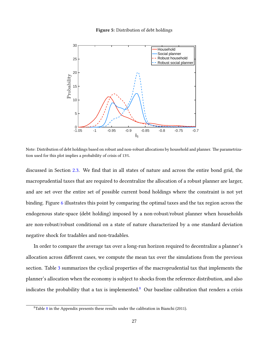#### **Figure 5:** Distribution of debt holdings

<span id="page-27-0"></span>

Note: Distribution of debt holdings based on robust and non-robust allocations by household and planner. The parametrization used for this plot implies a probability of crisis of 13%.

discussed in Section [2.3](#page-15-0). We find that in all states of nature and across the entire bond grid, the macroprudential taxes that are required to decentralize the allocation of a robust planner are larger, and are set over the entire set of possible current bond holdings where the constraint is not yet binding. Figure [6](#page-28-0) illustrates this point by comparing the optimal taxes and the tax region across the endogenous state-space (debt holding) imposed by a non-robust/robust planner when households are non-robust/robust conditional on a state of nature characterized by a one standard deviation negative shock for tradables and non-tradables.

In order to compare the average tax over a long-run horizon required to decentralize a planner's allocation across different cases, we compute the mean tax over the simulations from the previous section. Table [3](#page-29-1) summarizes the cyclical properties of the macroprudential tax that implements the planner's allocation when the economy is subject to shocks from the reference distribution, and also indicates the probability that a tax is implemented. $8$  Our baseline calibration that renders a crisis

<span id="page-27-1"></span> $8$ Table 8 in the Appendix presents these results under the calibration in Bianchi (2011).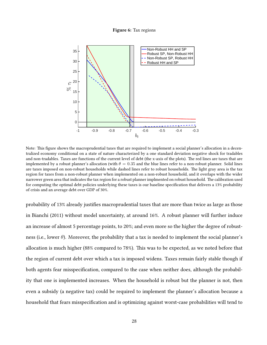**Figure 6:** Tax regions

<span id="page-28-0"></span>

Note: This figure shows the macroprudential taxes that are required to implement a social planner's allocation in a decentralized economy conditional on a state of nature characterized by a one standard deviation negative shock for tradables and non-tradables. Taxes are functions of the current level of debt (the x-axis of the plots). The red lines are taxes that are implemented by a robust planner's allocation (with  $\theta = 0.35$  and the blue lines refer to a non-robust planner. Solid lines are taxes imposed on non-robust households while dashed lines refer to robust households. The light gray area is the tax region for taxes from a non-robust planner when implemented on a non-robust household, and it overlaps with the wider narrower green area that indicates the tax region for a robust planner implmented on robust household. The calibration used for computing the optimal debt policies underlying these taxes is our baseline specification that delivers a 13% probability of crisis and an average debt over GDP of 30%.

probability of 13% already justifies macroprudential taxes that are more than twice as large as those in Bianchi (2011) without model uncertainty, at around 16%. A robust planner will further induce an increase of almost 5 percentage points, to 20%; and even more so the higher the degree of robustness (i.e., lower *θ*). Moreover, the probability that a tax is needed to implement the social planner's allocation is much higher (88% compared to 78%). This was to be expected, as we noted before that the region of current debt over which a tax is imposed widens. Taxes remain fairly stable though if both agents fear misspecification, compared to the case when neither does, although the probability that one is implemented increases. When the household is robust but the planner is not, then even a subsidy (a negative tax) could be required to implement the planner's allocation because a household that fears misspecification and is optimizing against worst-case probabilities will tend to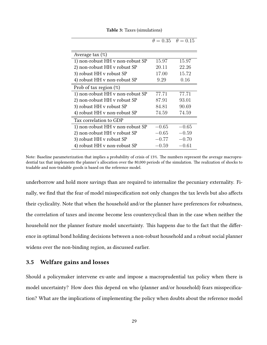<span id="page-29-1"></span>

|                                  |         | $\theta = 0.35$ $\theta = 0.15$ |
|----------------------------------|---------|---------------------------------|
|                                  |         |                                 |
| Average tax $(\%)$               |         |                                 |
| 1) non-robust HH v non-robust SP | 15.97   | 15.97                           |
| 2) non-robust HH v robust SP     | 20.11   | 22.26                           |
| 3) robust HH v robust SP         | 17.00   | 15.72                           |
| 4) robust HH v non-robust SP     | 9.29    | 0.16                            |
| Prob of tax region $(\%)$        |         |                                 |
| 1) non-robust HH v non-robust SP | 77.71   | 77.71                           |
| 2) non-robust HH v robust SP     | 87.91   | 93.01                           |
| 3) robust HH v robust SP         | 84.81   | 90.69                           |
| 4) robust HH v non-robust SP     | 74.59   | 74.59                           |
| Tax correlation to GDP           |         |                                 |
| 1) non-robust HH v non-robust SP | $-0.65$ | $-0.65$                         |
| 2) non-robust HH v robust SP     | $-0.65$ | $-0.59$                         |
| 3) robust HH v robust SP         | $-0.77$ | $-0.70$                         |
| 4) robust HH v non-robust SP     | $-0.59$ | $-0.61\,$                       |

**Table 3:** Taxes (simulations)

Note: Baseline parameterization that implies a probability of crisis of 13%. The numbers represent the average macroprudential tax that implements the planner's allocation over the 80,000 periods of the simulation. The realization of shocks to tradable and non-tradable goods is based on the reference model.

underborrow and hold more savings than are required to internalize the pecuniary externality. Finally, we find that the fear of model misspecification not only changes the tax levels but also affects their cyclicality. Note that when the household and/or the planner have preferences for robustness, the correlation of taxes and income become less countercyclical than in the case when neither the household nor the planner feature model uncertainty. This happens due to the fact that the difference in optimal bond holding decisions between a non-robust household and a robust social planner widens over the non-binding region, as discussed earlier.

## <span id="page-29-0"></span>**3.5 Welfare gains and losses**

Should a policymaker intervene ex-ante and impose a macroprudential tax policy when there is model uncertainty? How does this depend on who (planner and/or household) fears misspecification? What are the implications of implementing the policy when doubts about the reference model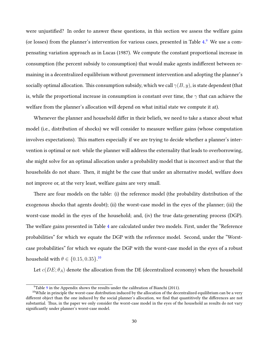were unjustified? In order to answer these questions, in this section we assess the welfare gains (or losses) from the planner's intervention for various cases, presented in Table [4](#page-31-0).<sup>[9](#page-30-0)</sup> We use a compensating variation approach as in Lucas (1987). We compute the constant proportional increase in consumption (the percent subsidy to consumption) that would make agents indifferent between remaining in a decentralized equilibrium without government intervention and adopting the planner's socially optimal allocation. This consumption subsidy, which we call *γ*(*B, y*), is state dependent (that is, while the proportional increase in consumption is constant over time, the *γ* that can achieve the welfare from the planner's allocation will depend on what initial state we compute it at).

Whenever the planner and household differ in their beliefs, we need to take a stance about what model (i.e., distribution of shocks) we will consider to measure welfare gains (whose computation involves expectations). This matters especially if we are trying to decide whether a planner's intervention is optimal or not: while the planner will address the externality that leads to overborrowing, she might solve for an optimal allocation under a probability model that is incorrect and/or that the households do not share. Then, it might be the case that under an alternative model, welfare does not improve or, at the very least, welfare gains are very small.

There are four models on the table: (i) the reference model (the probability distribution of the exogenous shocks that agents doubt); (ii) the worst-case model in the eyes of the planner; (iii) the worst-case model in the eyes of the household; and, (iv) the true data-generating process (DGP). The welfare gains presented in Table [4](#page-31-0) are calculated under two models. First, under the "Reference probabilities" for which we equate the DGP with the reference model. Second, under the "Worstcase probabilities" for which we equate the DGP with the worst-case model in the eyes of a robust household with  $\theta \in \{0.15, 0.35\}$ .<sup>[10](#page-30-1)</sup>

Let  $c(DE; \theta_A)$  denote the allocation from the DE (decentralized economy) when the household

<span id="page-30-1"></span><span id="page-30-0"></span> $9$ Table 9 in the Appendix shows the results under the calibration of Bianchi (2011).

 $10$ While in principle the worst-case distribution induced by the allocation of the decentralized equilibrium can be a very different object than the one induced by the social planner's allocation, we find that quantitively the differences are not substantial. Thus, in the paper we only consider the worst-case model in the eyes of the household as results do not vary significantly under planner's worst-case model.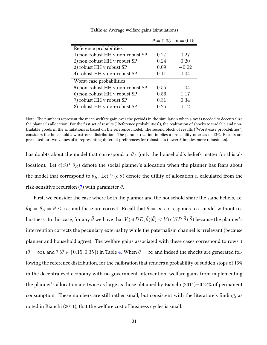<span id="page-31-0"></span>

|                                  |      | $\theta = 0.35$ $\theta = 0.15$ |
|----------------------------------|------|---------------------------------|
| Reference probabilities          |      |                                 |
| 1) non-robust HH v non-robust SP | 0.27 | 0.27                            |
| 2) non-robust HH v robust SP     | 0.24 | 0.20                            |
| 3) robust HH v robust SP         | 0.09 | $-0.02$                         |
| 4) robust HH v non-robust SP     | 0.11 | 0.04                            |
| Worst-case probabilities         |      |                                 |
| 5) non-robust HH v non-robust SP | 0.55 | 1.04                            |
| 6) non-robust HH v robust SP     | 0.56 | 1.17                            |
| 7) robust HH v robust SP         | 0.31 | 0.34                            |
| 8) robust HH v non-robust SP     | 0.26 | 0.12                            |

**Table 4:** Average welfare gains (simulations)

Note: The numbers represent the mean welfare gain over the periods in the simulation when a tax is needed to decentralize the planner's allocation. For the first set of results ("Reference probabilities"), the realization of shocks to tradable and nontradable goods in the simulations is based on the reference model. The second block of results ("Worst-case probabilities") considers the household's worst-case distribution. The parametrization implies a probability of crisis of 13%. Results are presented for two values of *θ*, representing different preferences for robustness (lower *θ* implies more robustness).

has doubts about the model that correspond to *θ<sup>A</sup>* (only the household's beliefs matter for this allocation). Let  $c(SP; \theta_R)$  denote the social planner's allocation when the planner has fears about the model that correspond to  $\theta_R$ . Let  $V(c|\theta)$  denote the utility of allocation *c*, calculated from the risk-sensitive recursion [\(7\)](#page-12-2) with parameter *θ*.

First, we consider the case where both the planner and the household share the same beliefs, i.e.  $\theta_R = \theta_A = \bar{\theta} \leq \infty$ , and these are correct. Recall that  $\bar{\theta} = \infty$  corresponds to a model without robustness. In this case, for any  $\bar{\theta}$  we have that  $V(c(DE,\bar{\theta})|\bar{\theta}) < V(c(SP,\bar{\theta})|\bar{\theta})$  because the planner's intervention corrects the pecuniary externality while the paternalism channel is irrelevant (because planner and household agree). The welfare gains associated with these cases correspond to rows 1  $(\bar{\theta} = \infty)$ , and 7 ( $\bar{\theta} \in \{0.15, 0.35\}$ ) in Table [4.](#page-31-0) When  $\bar{\theta} = \infty$  and indeed the shocks are generated following the reference distribution, for the calibration that renders a probability of sudden stops of 13% in the decentralized economy with no government intervention, welfare gains from implementing the planner's allocation are twice as large as those obtained by Bianchi (2011)—0.27% of permanent consumption. These numbers are still rather small, but consistent with the literature's finding, as noted in Bianchi (2011), that the welfare cost of business cycles is small.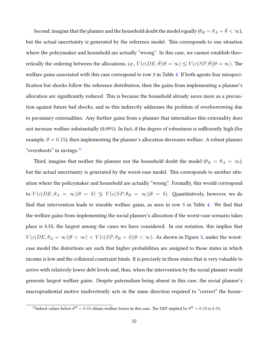Second, imagine that the planner and the household doubt the model equally  $(\theta_R = \theta_A = \bar{\theta} < \infty)$ , but the actual uncertainty is generated by the reference model. This corresponds to one situation where the policymaker and household are actually "wrong". In this case, we cannot establish theoretically the ordering between the allocations, i.e.,  $V(c(DE, \bar{\theta})|\theta = \infty) \le V(c(SP, \bar{\theta})|\theta = \infty)$ . The welfare gains associated with this case correspond to row 3 in Table [4.](#page-31-0) If both agents fear misspecification but shocks follow the reference distribution, then the gains from implementing a planner's allocation are significantly reduced. This is because the household already saves more as a precaution against future bad shocks, and so this indirectly addresses the problem of overborrowing due to pecuniary externalities. Any further gains from a planner that internalizes this externality does not increase welfare substantially (0.09%). In fact, if the degree of robustness is sufficiently high (for example,  $\theta = 0.15$ ), then implementing the planner's allocation decreases welfare. A robust planner "overshoots" in savings.<sup>[11](#page-32-0)</sup>

Third, imagine that neither the planner nor the household doubt the model ( $\theta_R = \theta_A = \infty$ ), but the actual uncertainty is generated by the worst-case model. This corresponds to another situation where the policymaker and household are actually "wrong". Formally, this would correspond to  $V(c(DE, \theta_A = \infty) | \theta = \delta) \leq V(c(SP, \theta_R = \infty) | \theta = \delta)$ . Quantitatively, however, we do find that intervention leads to sizeable welfare gains, as seen in row 5 in Table [4.](#page-31-0) We find that the welfare gains from implementing the social planner's allocation if the worst-case scenario takes place is 0.55, the largest among the cases we have considered. In our notation, this implies that  $V(c(DE, \theta_A = \infty) | \theta < \infty) < V(c(SP, \theta_R = \delta) | \theta < \infty)$ . As shown in Figure [3](#page-23-0), under the worstcase model the distortions are such that higher probabilities are assigned to those states in which income is low and the collateral constraint binds. It is precisely in those states that is very valuable to arrive with relatively lower debt levels and, thus, when the intervention by the social planner would generate largest welfare gains. Despite paternalism being absent in this case, the social planner's macroprudential motive inadvertently acts in the same direction required to "correct" the house-

<span id="page-32-0"></span><sup>&</sup>lt;sup>11</sup>Indeed values below  $\theta^R = 0.18$  obtain welfare losses in this case. The DEP implied by  $\theta^R = 0.18$  is 8.5%.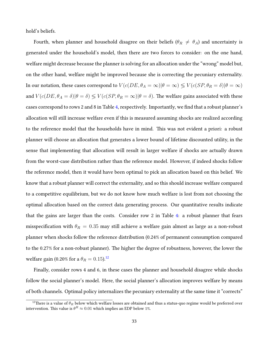hold's beliefs.

Fourth, when planner and household disagree on their beliefs ( $\theta_R \neq \theta_A$ ) and uncertainty is generated under the household's model, then there are two forces to consider: on the one hand, welfare might decrease because the planner is solving for an allocation under the "wrong" model but, on the other hand, welfare might be improved because she is correcting the pecuniary externality. In our notation, these cases correspond to  $V(c(DE, \theta_A = \infty) | \theta = \infty) \leq V(c(SP, \theta_R = \delta) | \theta = \infty)$ and  $V(c(DE, \theta_A = \delta) | \theta = \delta) \leq V(c(SP, \theta_R = \infty) | \theta = \delta)$ . The welfare gains associated with these cases correspond to rows 2 and 8 in Table [4](#page-31-0), respectively. Importantly, we find that a robust planner's allocation will still increase welfare even if this is measured assuming shocks are realized according to the reference model that the households have in mind. This was not evident a priori: a robust planner will choose an allocation that generates a lower bound of lifetime discounted utility, in the sense that implementing that allocation will result in larger welfare if shocks are actually drawn from the worst-case distribution rather than the reference model. However, if indeed shocks follow the reference model, then it would have been optimal to pick an allocation based on this belief. We know that a robust planner will correct the externality, and so this should increase welfare compared to a competitive equilibrium, but we do not know how much welfare is lost from not choosing the optimal allocation based on the correct data generating process. Our quantitative results indicate that the gains are larger than the costs. Consider row 2 in Table [4](#page-31-0): a robust planner that fears misspecification with  $\theta_R = 0.35$  may still achieve a welfare gain almost as large as a non-robust planner when shocks follow the reference distribution (0.24% of permanent consumption compared to the 0.27% for a non-robust planner). The higher the degree of robustness, however, the lower the welfare gain (0.20% for a  $\theta_R = 0.15$ ).<sup>[12](#page-33-0)</sup>

Finally, consider rows 4 and 6, in these cases the planner and household disagree while shocks follow the social planner's model. Here, the social planner's allocation improves welfare by means of both channels. Optimal policy internalizes the pecuniary externality at the same time it "corrects"

<span id="page-33-0"></span> $^{12}$ There is a value of  $\theta_R$  below which welfare losses are obtained and thus a status-quo regime would be preferred over intervention. This value is  $\theta^R \approx 0.01$  which implies an EDP below 1%.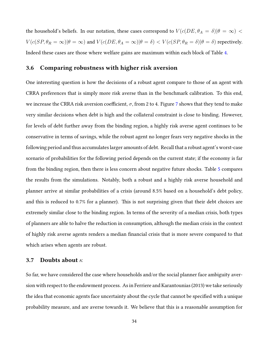the household's beliefs. In our notation, these cases correspond to  $V(c(DE, \theta_A = \delta) | \theta = \infty)$  $V(c(SP,\theta_R=\infty)|\theta=\infty) \text{ and } V(c(DE,\theta_A=\infty)|\theta=\delta) < V(c(SP,\theta_R=\delta)|\theta=\delta) \text{ respectively.}$ Indeed these cases are those where welfare gains are maximum within each block of Table [4](#page-31-0).

# **3.6 Comparing robustness with higher risk aversion**

One interesting question is how the decisions of a robust agent compare to those of an agent with CRRA preferences that is simply more risk averse than in the benchmark calibration. To this end, we increase the CRRA risk aversion coefficient,  $\sigma$ , from 2 to 4. Figure [7](#page-35-0) shows that they tend to make very similar decisions when debt is high and the collateral constraint is close to binding. However, for levels of debt further away from the binding region, a highly risk averse agent continues to be conservative in terms of savings, while the robust agent no longer fears very negative shocks in the following period and thus accumulates larger amounts of debt. Recall that a robust agent's worst-case scenario of probabilities for the following period depends on the current state; if the economy is far from the binding region, then there is less concern about negative future shocks. Table [5](#page-36-0) compares the results from the simulations. Notably, both a robust and a highly risk averse household and planner arrive at similar probabilities of a crisis (around 8.5% based on a household's debt policy, and this is reduced to 0.7% for a planner). This is not surprising given that their debt choices are extremely similar close to the binding region. In terms of the severity of a median crisis, both types of planners are able to halve the reduction in consumption, although the median crisis in the context of highly risk averse agents renders a median financial crisis that is more severe compared to that which arises when agents are robust.

### **3.7 Doubts about** *κ*

So far, we have considered the case where households and/or the social planner face ambiguity aversion with respect to the endowment process. As in Ferriere and Karantounias (2013) we take seriously the idea that economic agents face uncertainty about the cycle that cannot be specified with a unique probability measure, and are averse towards it. We believe that this is a reasonable assumption for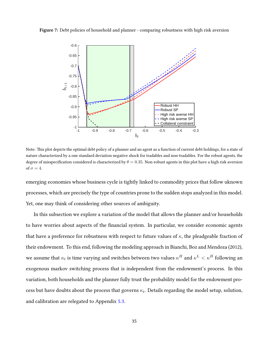<span id="page-35-0"></span>**Figure 7:** Debt policies of household and planner - comparing robustness with high risk aversion



Note: This plot depicts the optimal debt policy of a planner and an agent as a function of current debt holdings, for a state of nature characterized by a one standard deviation negative shock for tradables and non-tradables. For the robust agents, the degree of misspecification considered is characterized by  $\theta = 0.35$ . Non-robust agents in this plot have a high risk aversion of  $\sigma = 4$ .

emerging economies whose business cycle is tightly linked to commodity prices that follow uknown processes, which are precisely the type of countries prone to the sudden stops analyzed in this model. Yet, one may think of considering other sources of ambiguity.

In this subsection we explore a variation of the model that allows the planner and/or households to have worries about aspects of the financial system. In particular, we consider economic agents that have a preference for robustness with respect to future values of *κ*, the pleadgeable fraction of their endowment. To this end, following the modeling approach in Bianchi, Boz and Mendoza (2012), we assume that  $\kappa_t$  is time varying and switches between two values  $\kappa^H$  and  $\kappa^L<\kappa^H$  following an exogenous markov switching process that is independent from the endowment's process. In this variation, both households and the planner fully trust the probability model for the endowment process but have doubts about the process that governs *κ<sup>t</sup>* . Details regarding the model setup, solution, and calibration are relegated to Appendix [5.3.](#page-45-1)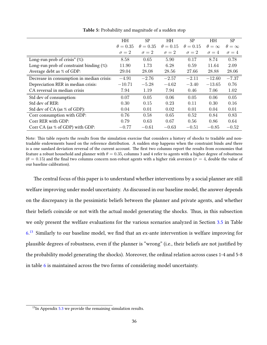<span id="page-36-0"></span>

|                                              | HH              | <b>SP</b>       | HH              | <b>SP</b>       | HH                | <b>SP</b>         |
|----------------------------------------------|-----------------|-----------------|-----------------|-----------------|-------------------|-------------------|
|                                              | $\theta = 0.35$ | $\theta = 0.35$ | $\theta = 0.15$ | $\theta = 0.15$ | $\theta = \infty$ | $\theta = \infty$ |
|                                              | $\sigma = 2$    | $\sigma = 2$    | $\sigma = 2$    | $\sigma = 2$    | $\sigma = 4$      | $\sigma = 4$      |
| Long-run prob of crisis* $(\%)$ :            | 8.58            | 0.65            | 5.90            | 0.17            | 8.74              | 0.78              |
| Long-run prob of constraint binding $(\%)$ : | 11.90           | 1.73            | 6.28            | 0.59            | 11.64             | 2.09              |
| Average debt as % of GDP:                    | 29.04           | 28.08           | 28.56           | 27.66           | 28.88             | 28.06             |
| Decrease in consumption in median crisis:    | $-4.91$         | $-2.76$         | $-2.57$         | $-2.11$         | $-12.60$          | $-7.37$           |
| Depreciation RER in median crisis:           | $-10.71$        | $-5.28$         | $-4.62$         | $-3.40$         | $-13.65$          | 0.76              |
| CA reversal in median crisis                 | 7.94            | 1.19            | 7.94            | 0.46            | 7.06              | 1.02              |
| Std dev of consumption:                      | 0.07            | 0.05            | 0.06            | 0.05            | 0.06              | 0.05              |
| Std dev of RER:                              | 0.30            | 0.15            | 0.23            | 0.11            | 0.30              | 0.16              |
| Std dev of CA (as % of GDP):                 | 0.04            | 0.01            | 0.02            | 0.01            | 0.04              | 0.01              |
| Corr consumption with GDP:                   | 0.76            | 0.58            | 0.65            | 0.52            | 0.84              | 0.83              |
| Corr RER with GDP:                           | 0.79            | 0.63            | 0.67            | 0.56            | 0.86              | 0.64              |
| Corr CA (as % of GDP) with GDP:              | $-0.77$         | $-0.61$         | $-0.63$         | $-0.51$         | $-0.85$           | $-0.52$           |

**Table 5:** Probability and magnitude of a sudden stop

Note: This table reports the results from the simulation exercise that considers a history of shocks to tradable and nontradable endowments based on the reference distribution. A sudden stop happens when the constraint binds *and* there is a one sandard deviation reversal of the current account. The first two columns report the results from economies that feature a robust household and planner with  $\theta = 0.35$ , columns 3 and 4 refer to agents with a higher degree of robustness  $(\theta = 0.15)$  and the final two columns concern non-robust agents with a higher risk aversion ( $\sigma = 4$ , double the value of our baseline calibration).

The central focus of this paper is to understand whether interventions by a social planner are still welfare improving under model uncertainty. As discussed in our baseline model, the answer depends on the discrepancy in the pessimistic beliefs between the planner and private agents, and whether their beliefs coincide or not with the actual model generating the shocks. Thus, in this subsection we only present the welfare evaluations for the various scenarios analyzed in Section [3.5](#page-29-0) in Table [6](#page-37-1).<sup>[13](#page-36-1)</sup> Similarly to our baseline model, we find that an ex-ante intervention is welfare improving for plausible degrees of robustness, even if the planner is "wrong" (i.e., their beliefs are not justified by the probability model generating the shocks). Moreover, the ordinal relation across cases 1-4 and 5-8 in table [6](#page-37-1) is maintained across the two forms of considering model uncertainty.

<span id="page-36-1"></span> $13$ In Appendix [5.3](#page-45-1) we provide the remaining simulation results.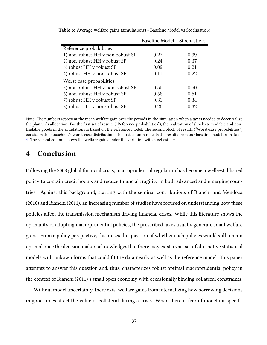|                                  | Baseline Model Stochastic $\kappa$ |      |
|----------------------------------|------------------------------------|------|
| Reference probabilities          |                                    |      |
| 1) non-robust HH v non-robust SP | 0.27                               | 0.39 |
| 2) non-robust HH v robust SP     | 0.24                               | 0.37 |
| 3) robust HH v robust SP         | 0.09                               | 0.21 |
| 4) robust HH v non-robust SP     | 0.11                               | 0.22 |
| Worst-case probabilities         |                                    |      |
| 5) non-robust HH v non-robust SP | 0.55                               | 0.50 |
| 6) non-robust HH v robust SP     | 0.56                               | 0.51 |
| 7) robust HH v robust SP         | 0.31                               | 0.34 |
| 8) robust HH v non-robust SP     | 0.26                               | 0.32 |

<span id="page-37-1"></span>**Table 6:** Average welfare gains (simulations) - Baseline Model vs Stochastic *κ*

Note: The numbers represent the mean welfare gain over the periods in the simulation when a tax is needed to decentralize the planner's allocation. For the first set of results ("Reference probabilities"), the realization of shocks to tradable and nontradable goods in the simulations is based on the reference model. The second block of results ("Worst-case probabilities") considers the household's worst-case distribution. The first column repeats the results from our baseline model from Table [4](#page-31-0). The second column shows the welfare gains under the variation with stochastic *κ*.

# <span id="page-37-0"></span>**4 Conclusion**

Following the 2008 global financial crisis, macroprudential regulation has become a well-established policy to contain credit booms and reduce financial fragility in both advanced and emerging countries. Against this background, starting with the seminal contributions of Bianchi and Mendoza (2010) and Bianchi (2011), an increasing number of studies have focused on understanding how these policies affect the transmission mechanism driving financial crises. While this literature shows the optimality of adopting macroprudential policies, the prescribed taxes usually generate small welfare gains. From a policy perspective, this raises the question of whether such policies would still remain optimal once the decision maker acknowledges that there may exist a vast set of alternative statistical models with unkown forms that could fit the data nearly as well as the reference model. This paper attempts to answer this question and, thus, characterizes robust optimal macroprudential policy in the context of Bianchi (2011)'s small open economy with occasionally binding collateral constraints.

Without model uncertainty, there exist welfare gains from internalizing how borrowing decisions in good times affect the value of collateral during a crisis. When there is fear of model misspecifi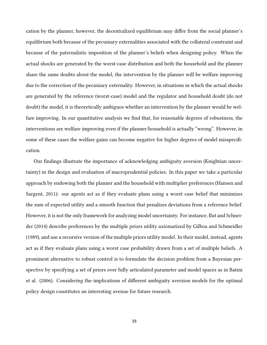cation by the planner, however, the decentralized equilibrium may differ from the social planner's equilibrium both because of the pecuniary externalities associated with the collateral constraint and because of the paternalistic imposition of the planner's beliefs when designing policy. When the actual shocks are generated by the worst-case distribution and both the household and the planner share the same doubts about the model, the intervention by the planner will be welfare improving due to the correction of the pecuniary externality. However, in situations in which the actual shocks are generated by the reference (worst-case) model and the regulator and household doubt (do not doubt) the model, it is theoretically ambiguos whether an intervention by the planner would be welfare improving. In our quantitative analysis we find that, for reasonable degrees of robustness, the interventions are welfare improving even if the planner/household is actually "wrong". However, in some of these cases the welfare gains can become negative for higher degrees of model misspecification.

Our findings illustrate the importance of acknowledging ambiguity aversion (Knightian uncertainty) in the design and evaluation of macroprudential policies. In this paper we take a particular approach by endowing both the planner and the household with multiplier preferences (Hansen and Sargent, 2011): our agents act as if they evaluate plans using a worst case belief that minimizes the sum of expected utility and a smooth function that penalizes deviations from a reference belief. However, it is not the only framework for analyzing model uncertainty. For instance, Ilut and Schneider (2014) describe preferences by the multiple priors utility axiomatized by Gilboa and Schmeidler (1989), and use a recursive version of the multiple priors utility model. In their model, instead, agents act as if they evaluate plans using a worst case probability drawn from a set of multiple beliefs. A prominent alternative to robust control is to formulate the decision problem from a Bayesian perspective by specifying a set of priors over fully articulated parameter and model spaces as in Batini et al. (2006). Considering the implications of different ambiguity aversion models for the optimal policy design constitutes an interesting avenue for future research.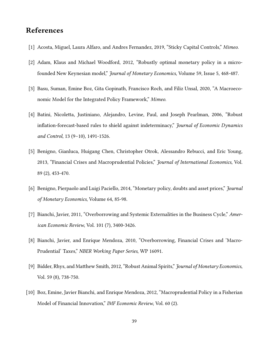# **References**

- [1] Acosta, Miguel, Laura Alfaro, and Andres Fernandez, 2019, "Sticky Capital Controls," *Mimeo*.
- [2] Adam, Klaus and Michael Woodford, 2012, "Robustly optimal monetary policy in a microfounded New Keynesian model," *Journal of Monetary Economics*, Volume 59, Issue 5, 468-487.
- [3] Basu, Suman, Emine Boz, Gita Gopinath, Francisco Roch, and Filiz Unsal, 2020, "A Macroeconomic Model for the Integrated Policy Framework," *Mimeo*.
- [4] Batini, Nicoletta, Justiniano, Alejandro, Levine, Paul, and Joseph Pearlman, 2006, "Robust inflation-forecast-based rules to shield against indeterminacy," *Journal of Economic Dynamics and Control*, 13 (9–10), 1491-1526.
- [5] Benigno, Gianluca, Huigang Chen, Christopher Otrok, Alessandro Rebucci, and Eric Young, 2013, "Financial Crises and Macroprudential Policies," *Journal of International Economics*, Vol. 89 (2), 453-470.
- [6] Benigno, Pierpaolo and Luigi Paciello, 2014, "Monetary policy, doubts and asset prices," *Journal of Monetary Economics*, Volume 64, 85-98.
- [7] Bianchi, Javier, 2011, "Overborrowing and Systemic Externalities in the Business Cycle," *American Economic Review*, Vol. 101 (7), 3400-3426.
- [8] Bianchi, Javier, and Enrique Mendoza, 2010, "Overborrowing, Financial Crises and 'Macro-Prudential' Taxes," *NBER Working Paper Series*, WP 16091.
- [9] Bidder, Rhys, and Matthew Smith, 2012, "Robust Animal Spirits," *Journal of Monetary Economics*, Vol. 59 (8), 738-750.
- [10] Boz, Emine, Javier Bianchi, and Enrique Mendoza, 2012, "Macroprudential Policy in a Fisherian Model of Financial Innovation," *IMF Economic Review*, Vol. 60 (2).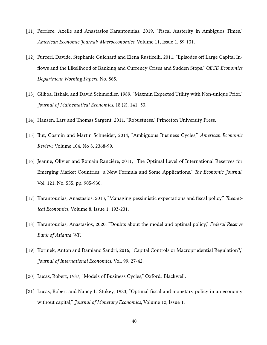- [11] Ferriere, Axelle and Anastasios Karantounias, 2019, "Fiscal Austerity in Ambiguos Times," *American Economic Journal: Macroeconomics*, Volume 11, Issue 1, 89-131.
- [12] Furceri, Davide, Stephanie Guichard and Elena Rusticelli, 2011, "Episodes off Large Capital Inflows and the Likelihood of Banking and Currency Crises and Sudden Stops," *OECD Economics Department Working Papers*, No. 865.
- [13] Gilboa, Itzhak, and David Schmeidler, 1989, "Maxmin Expected Utility with Non-unique Prior," *Journal of Mathematical Economics*, 18 (2), 141–53.
- [14] Hansen, Lars and Thomas Sargent, 2011, "Robustness," Princeton University Press.
- [15] Ilut, Cosmin and Martin Schneider, 2014, "Ambiguous Business Cycles," *American Economic Review*, Volume 104, No 8, 2368-99.
- [16] Jeanne, Olivier and Romain Rancière, 2011, "The Optimal Level of International Reserves for Emerging Market Countries: a New Formula and Some Applications," *The Economic Journal*, Vol. 121, No. 555, pp. 905-930.
- [17] Karantounias, Anastasios, 2013, "Managing pessimistic expectations and fiscal policy," *Theoretical Economics*, Volume 8, Issue 1, 193-231.
- [18] Karantounias, Anastasios, 2020, "Doubts about the model and optimal policy," *Federal Reserve Bank of Atlanta WP*.
- [19] Korinek, Anton and Damiano Sandri, 2016, "Capital Controls or Macroprudential Regulation?," *Journal of International Economics*, Vol. 99, 27-42.
- [20] Lucas, Robert, 1987, "Models of Business Cycles," Oxford: Blackwell.
- [21] Lucas, Robert and Nancy L. Stokey, 1983, "Optimal fiscal and monetary policy in an economy without capital," *Journal of Monetary Economics*, Volume 12, Issue 1.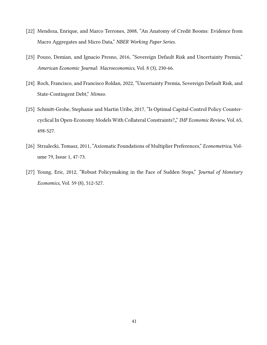- [22] Mendoza, Enrique, and Marco Terrones, 2008, "An Anatomy of Credit Booms: Evidence from Macro Aggregates and Micro Data," *NBER Working Paper Series*.
- [23] Pouzo, Demian, and Ignacio Presno, 2016, "Sovereign Default Risk and Uncertainty Premia," *American Economic Journal: Macroeconomics*, Vol. 8 (3), 230-66.
- [24] Roch, Francisco, and Francisco Roldan, 2022, "Uncertainty Premia, Sovereign Default Risk, and State-Contingent Debt," *Mimeo*.
- [25] Schmitt-Grohe, Stephanie and Martin Uribe, 2017, "Is Optimal Capital-Control Policy Countercyclical In Open-Economy Models With Collateral Constraints?"" *IMF Economic Review*, Vol. 65, 498-527.
- [26] Strzalecki, Tomasz, 2011, "Axiomatic Foundations of Multiplier Preferences," *Econometrica*, Volume 79, Issue 1, 47-73.
- [27] Young, Eric, 2012, "Robust Policymaking in the Face of Sudden Stops," *Journal of Monetary Economics*, Vol. 59 (8), 512-527.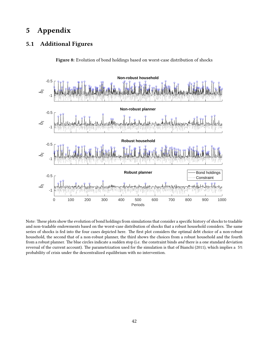# **5 Appendix**

# <span id="page-42-0"></span>**5.1 Additional Figures**

**Figure 8:** Evolution of bond holdings based on worst-case distribution of shocks



Note: These plots show the evolution of bond holdings from simulations that consider a specific history of shocks to tradable and non-tradable endowments based on the worst-case distribution of shocks that a robust household considers. The same series of shocks is fed into the four cases depicted here. The first plot considers the optimal debt choice of a non-robust household, the second that of a non-robust planner, the third shows the choices from a robust household and the fourth from a robust planner. The blue circles indicate a sudden stop (i.e. the constraint binds *and* there is a one standard deviation reversal of the current account). The parametrization used for the simulation is that of Bianchi (2011), which implies a 5% probability of crisis under the descentralized equilibrium with no intervention.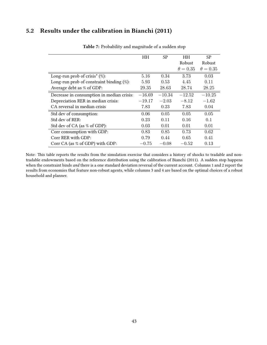# <span id="page-43-1"></span><span id="page-43-0"></span>**5.2 Results under the calibration in Bianchi (2011)**

|                                               | HН       | SP.      | <b>HH</b>       | SP              |
|-----------------------------------------------|----------|----------|-----------------|-----------------|
|                                               |          |          | Robust          | Robust          |
|                                               |          |          | $\theta = 0.35$ | $\theta = 0.35$ |
| Long-run prob of crisis <sup>*</sup> $(\%)$ : | 5.16     | 0.34     | 3.73            | 0.03            |
| Long-run prob of constraint binding $(\%)$ :  | 5.93     | 0.53     | 4.45            | 0.11            |
| Average debt as % of GDP:                     | 29.35    | 28.63    | 28.74           | 28.25           |
| Decrease in consumption in median crisis:     | $-16.69$ | $-10.34$ | $-12.52$        | $-10.25$        |
| Depreciation RER in median crisis:            | $-19.17$ | $-2.03$  | $-8.12$         | $-1.62$         |
| CA reversal in median crisis                  | 7.83     | 0.23     | 7.83            | 0.04            |
| Std dev of consumption:                       | 0.06     | 0.05     | 0.05            | 0.05            |
| Std dev of RER:                               | 0.23     | 0.11     | 0.16            | 0.1             |
| Std dev of CA (as % of GDP):                  | 0.03     | 0.01     | 0.01            | 0.01            |
| Corr consumption with GDP:                    | 0.83     | 0.85     | 0.73            | 0.62            |
| Corr RER with GDP:                            | 0.79     | 0.44     | 0.65            | 0.41            |
| Corr CA (as % of GDP) with GDP:               | $-0.75$  | $-0.08$  | $-0.52$         | 0.13            |

**Table 7:** Probability and magnitude of a sudden stop

Note: This table reports the results from the simulation exercise that considers a history of shocks to tradable and nontradable endowments based on the reference distribution using the calibration of Bianchi (2011). A sudden stop happens when the constraint binds *and* there is a one standard deviation reversal of the current account. Columns 1 and 2 report the results from economies that feature non-robust agents, while columns 3 and 4 are based on the optimal choices of a robust household and planner.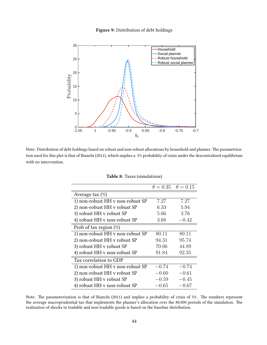#### **Figure 9:** Distribution of debt holdings

<span id="page-44-0"></span>

<span id="page-44-1"></span>Note: Distribution of debt holdings based on robust and non-robust allocations by household and planner. The parametrization used for this plot is that of Bianchi (2011), which implies a 5% probability of crisis under the descentralized equilibrium with no intervention.

|                                  | $\theta = 0.35$ | $\theta = 0.15$ |
|----------------------------------|-----------------|-----------------|
| Average tax $(\%)$               |                 |                 |
| 1) non-robust HH v non-robust SP | 7.27            | 7.27            |
| 2) non-robust HH v robust SP     | 6.33            | 5.94            |
| 3) robust HH v robust SP         | 5.66            | 3.76            |
| 4) robust HH v non-robust SP     | 3.68            | $-0.42$         |
| Prob of tax region $(\%)$        |                 |                 |
| 1) non-robust HH v non-robust SP | 80.11           | 80.11           |
| 2) non-robust HH v robust SP     | 94.31           | 95.74           |
| 3) robust HH v robust SP         | 70.06           | 44.89           |
| 4) robust HH v non-robust SP     | 91.84           | 92.35           |
| Tax correlation to GDP           |                 |                 |
| 1) non-robust HH v non-robust SP | $-0.74$         | $-0.74$         |
| 2) non-robust HH v robust SP     | $-0.60\,$       | $-0.61$         |
| 3) robust HH v robust SP         | $-0.59$         | $-0.45$         |
| 4) robust HH v non-robust SP     | -0.65           | -0.67           |

**Table 8:** Taxes (simulations)

Note: The parameterization is that of Bianchi (2011) and implies a probability of crisis of 5%. The numbers represent the average macroprudential tax that implements the planner's allocation over the 80,000 periods of the simulation. The realization of shocks to tradable and non-tradable goods is based on the baseline distribution.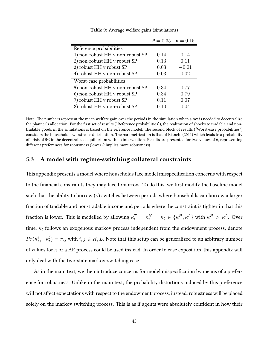<span id="page-45-0"></span>

|                                  |      | $\theta = 0.35 \quad \theta = 0.15$ |
|----------------------------------|------|-------------------------------------|
| Reference probabilities          |      |                                     |
| 1) non-robust HH v non-robust SP | 0.14 | 0.14                                |
| 2) non-robust HH v robust SP     | 0.13 | 0.11                                |
| 3) robust HH v robust SP         | 0.03 | $-0.01$                             |
| 4) robust HH v non-robust SP     | 0.03 | 0.02                                |
| Worst-case probabilities         |      |                                     |
| 5) non-robust HH v non-robust SP | 0.34 | 0.77                                |
| 6) non-robust HH v robust SP     | 0.34 | 0.79                                |
| 7) robust HH v robust SP         | 0.11 | 0.07                                |
| 8) robust HH v non-robust SP     | 0.10 | 0.04                                |

**Table 9:** Average welfare gains (simulations)

Note: The numbers represent the mean welfare gain over the periods in the simulation when a tax is needed to decentralize the planner's allocation. For the first set of results ("Reference probabilities"), the realization of shocks to tradable and nontradable goods in the simulations is based on the reference model. The second block of results ("Worst-case probabilities") considers the household's worst-case distribution. The parametrization is that of Bianchi (2011) which leads to a probability of crisis of 5% in the decentralized equilibrium with no intervention. Results are presented for two values of *θ*, representing different preferences for robustness (lower *θ* implies more robustness).

### <span id="page-45-1"></span>**5.3 A model with regime-switching collateral constraints**

This appendix presents a model where households face model misspecification concerns with respect to the financial constraints they may face tomorrow. To do this, we first modify the baseline model such that the ability to borrow  $(\kappa)$  switches between periods where households can borrow a larger fraction of tradable and non-tradable income and periods where the constraint is tighter in that this fraction is lower. This is modelled by allowing  $\kappa_t^T = \kappa_t^N = \kappa_t \in \{\kappa^H, \kappa^L\}$  with  $\kappa^H > \kappa^L$ . Over time, *κ<sup>t</sup>* follows an exogenous markov process independent from the endowment process, denote  $Pr(\kappa_{t+1}^i | \kappa_t^j)$  $\pi^j_t) = \pi_{ij}$  with  $i,j \in H,L$ . Note that this setup can be generalized to an arbitrary number of values for *κ* or a AR process could be used instead. In order to ease exposition, this appendix will only deal with the two-state markov-switching case.

As in the main text, we then introduce concerns for model mispecification by means of a preference for robustness. Unlike in the main text, the probability distortions induced by this preference will not affect expectations with respect to the endowment process, instead, robustness will be placed solely on the markov switching process. This is as if agents were absolutely confident in how their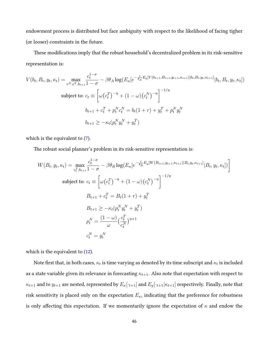endowment process is distributed but face ambiguity with respect to the likelihood of facing tigher (or looser) constraints in the future.

These modifications imply that the robust household's decentralized problem in its risk-sensitive representation is:

$$
V(b_t, B_t, y_t, \kappa_t) = \max_{c^N, c^T, b_{t+1}} \frac{c_t^{1-\sigma}}{1-\sigma} - \beta \theta_A \log(E_\kappa[e^{-\frac{1}{\theta_A}E_y[V(b_{t+1}, B_{t+1}, y_{t+1}, \kappa_{t+1})|b_t, B_t, y_t, \kappa_{t+1}}]|b_t, B_t, y_t, \kappa_t])
$$
  
subject to: 
$$
c_t \equiv \left[\omega(c_t^T)^{-\eta} + (1-\omega)(c_t^N)^{-\eta}\right]^{-1/\eta}
$$

$$
b_{t+1} + c_t^T + p_t^N c_t^N = b_t(1+r) + y_t^T + p_t^N y_t^N
$$

$$
b_{t+1} \ge -\kappa_t(p_t^N y_t^N + y_t^T)
$$

which is the equivalent to([7\)](#page-12-2).

The robust social planner's problem in its risk-sensitive representation is:

$$
W(B_t, y_t, \kappa_t) = \max_{c_t^T, b_{t+1}} \frac{c_t^{1-\sigma}}{1-\sigma} - \beta \theta_R \log(E_{\kappa}[e^{-\frac{1}{\theta_R}E_y[W(B_{t+1}, y_{t+1}, \kappa_{t+1})|B_t, y_t, \kappa_{t+1}}]B_t, y_t, \kappa_t]) \bigg]
$$
  
subject to:  $c_t \equiv \left[ \omega(c_t^T)^{-\eta} + (1-\omega)(c_t^N)^{-\eta} \right]^{-1/\eta}$   

$$
B_{t+1} + c_t^T = B_t(1+r) + y_t^T
$$
  

$$
B_{t+1} \ge -\kappa_t(p_t^N y_t^N + y_t^T)
$$
  

$$
p_t^N = \frac{(1-\omega)}{\omega} (\frac{c_t^T}{c_t^N})^{\eta+1}
$$
  

$$
c_t^N = y_t^N
$$

which is the equivalent to([12](#page-13-1)).

Note first that, in both cases,  $\kappa_t$  is time varying as denoted by its time subscript and  $\kappa_t$  is included as a state variable given its relevance in forecasting *κt*+1. Also note that expectation with respect to  $\kappa_{t+1}$  and to  $y_{t+1}$  are nested, represented by  $E_{\kappa}[\cdot_{t+1}]$  and  $E_{y}[\cdot_{t+1}|\kappa_{t+1}]$  respectively. Finally, note that risk sensitivity is placed only on the expectation *Eκ*, indicating that the preference for robustness is only affecting this expectation. If we momentarily ignore the expectation of *κ* and endow the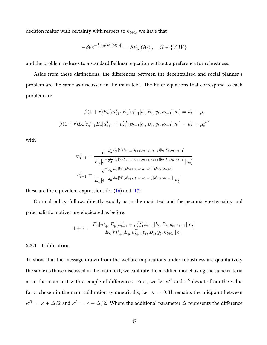decision maker with certainty with respect to  $\kappa_{t+1},$  we have that

$$
-\beta \theta e^{-\frac{1}{\theta}\log(E_y[G(\cdot)])} = \beta E_y[G(\cdot)], \quad G \in \{V, W\}
$$

and the problem reduces to a standard Bellman equation without a preference for robustness.

Aside from these distinctions, the differences between the decentralized and social planner's problem are the same as discussed in the main text. The Euler equations that correspond to each problem are

$$
\beta(1+r)E_{\kappa}[m_{t+1}^{*}E_{y}[u_{t+1}^{T}|b_{t}, B_{t}, y_{t}, \kappa_{t+1}]|\kappa_{t}] = u_{t}^{T} + \mu_{t}
$$

$$
\beta(1+r)E_{\kappa}[n_{t+1}^{*}E_{y}[u_{t+1}^{T} + \mu_{t+1}^{SP}\psi_{t+1}|b_{t}, B_{t}, y_{t}, \kappa_{t+1}]|\kappa_{t}] = u_{t}^{T} + \mu_{t}^{SP}
$$

with

$$
m_{t+1}^{*} = \frac{e^{-\frac{1}{\theta_{A}}E_{y}[V(b_{t+1},B_{t+1},y_{t+1},\kappa_{t+1})|b_{t},B_{t},y_{t},\kappa_{t+1}]} }{E_{\kappa}[e^{-\frac{1}{\theta_{A}}E_{y}[V(b_{t+1},B_{t+1},y_{t+1},\kappa_{t+1})|b_{t},B_{t},y_{t},\kappa_{t+1}]}|\kappa_{t}]}
$$

$$
n_{t+1}^{*} = \frac{e^{-\frac{1}{\theta_{R}}E_{y}[W(B_{t+1},y_{t+1},\kappa_{t+1})|B_{t},y_{t},\kappa_{t+1}]} }{E_{\kappa}[e^{-\frac{1}{\theta_{R}}E_{y}[W(B_{t+1},y_{t+1},\kappa_{t+1})|B_{t},y_{t},\kappa_{t+1}]}|\kappa_{t}]}
$$

theseare the equivalent expressions for  $(16)$  and  $(17)$  $(17)$  $(17)$ .

Optimal policy, follows directly exactly as in the main text and the pecuniary externality and paternalistic motives are elucidated as before:

$$
1 + \tau = \frac{E_{\kappa}[n_{t+1}^{*}E_{y}[u_{t+1}^{T} + \mu_{t+1}^{SP}\psi_{t+1}|b_{t}, B_{t}, y_{t}, \kappa_{t+1}]|\kappa_{t}]}{E_{\kappa}[m_{t+1}^{*}E_{y}[u_{t+1}^{T}|b_{t}, B_{t}, y_{t}, \kappa_{t+1}]|\kappa_{t}]}
$$

#### **5.3.1 Calibration**

To show that the message drawn from the welfare implications under robustness are qualitatively the same as those discussed in the main text, we calibrate the modified model using the same criteria as in the main text with a couple of differences. First, we let  $\kappa^H$  and  $\kappa^L$  deviate from the value for  $\kappa$  chosen in the main calibration symmetrically, i.e.  $\kappa = 0.31$  remains the midpoint between *κ*<sup>*H*</sup> = *κ* + ∆/2 and  $κ^L = κ - Δ/2$ . Where the additional parameter Δ represents the difference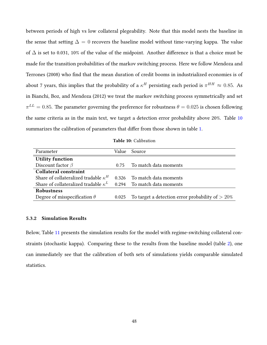between periods of high vs low collateral plegeability. Note that this model nests the baseline in the sense that setting  $\Delta = 0$  recovers the baseline model without time-varying kappa. The value of ∆ is set to 0.031, 10% of the value of the midpoint. Another difference is that a choice must be made for the transition probabilities of the markov switching process. Here we follow Mendoza and Terrones (2008) who find that the mean duration of credit booms in industrialized economies is of about 7 years, this implies that the probability of a  $\kappa^H$  persisting each period is  $\pi^{HH} \approx 0.85$ . As in Bianchi, Boz, and Mendoza (2012) we treat the markov switching process symmetrically and set  $\pi^{LL} = 0.85$ . The parameter governing the preference for robustness  $\theta = 0.025$  is chosen following the same criteria as in the main text, we target a detection error probability above 20%. Table [10](#page-48-0) summarizes the calibration of parameters that differ from those shown in table [1](#page-19-0).

**Table 10:** Calibration

<span id="page-48-0"></span>

| Parameter                                                               | Value | Source                                              |
|-------------------------------------------------------------------------|-------|-----------------------------------------------------|
| <b>Utility function</b>                                                 |       |                                                     |
| Discount factor $\beta$                                                 | 0.75  | To match data moments                               |
| <b>Collateral constraint</b>                                            |       |                                                     |
| Share of collateralized tradable $\kappa^H$                             | 0.326 | To match data moments                               |
| Share of collateralized tradable $\kappa^L$ 0.294 To match data moments |       |                                                     |
| Robustness                                                              |       |                                                     |
| Degree of misspecification $\theta$                                     | 0.025 | To target a detection error probability of $> 20\%$ |

#### **5.3.2 Simulation Results**

Below, Table [11](#page-49-0) presents the simulation results for the model with regime-switching collateral constraints (stochastic kappa). Comparing these to the results from the baseline model (table [2\)](#page-26-1), one can immediately see that the calibration of both sets of simulations yields comparable simulated statistics.